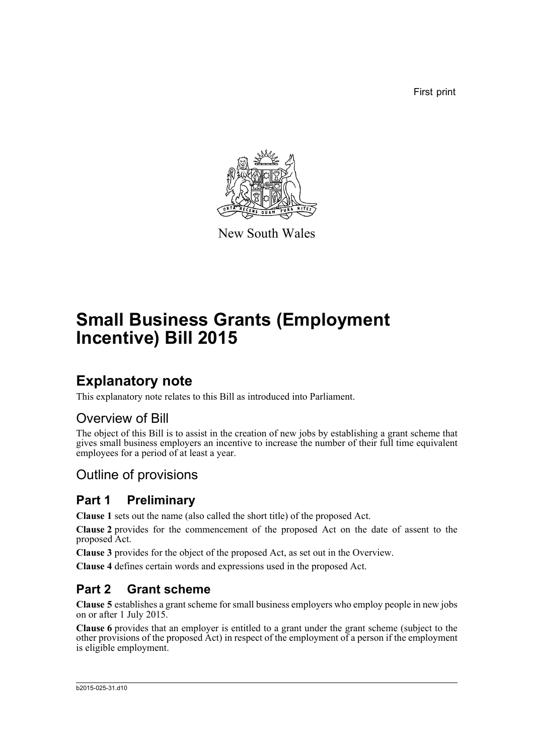First print



New South Wales

# **Small Business Grants (Employment Incentive) Bill 2015**

# **Explanatory note**

This explanatory note relates to this Bill as introduced into Parliament.

## Overview of Bill

The object of this Bill is to assist in the creation of new jobs by establishing a grant scheme that gives small business employers an incentive to increase the number of their full time equivalent employees for a period of at least a year.

# Outline of provisions

## **Part 1 Preliminary**

**Clause 1** sets out the name (also called the short title) of the proposed Act.

**Clause 2** provides for the commencement of the proposed Act on the date of assent to the proposed Act.

**Clause 3** provides for the object of the proposed Act, as set out in the Overview.

**Clause 4** defines certain words and expressions used in the proposed Act.

# **Part 2 Grant scheme**

**Clause 5** establishes a grant scheme for small business employers who employ people in new jobs on or after 1 July 2015.

**Clause 6** provides that an employer is entitled to a grant under the grant scheme (subject to the other provisions of the proposed Act) in respect of the employment of a person if the employment is eligible employment.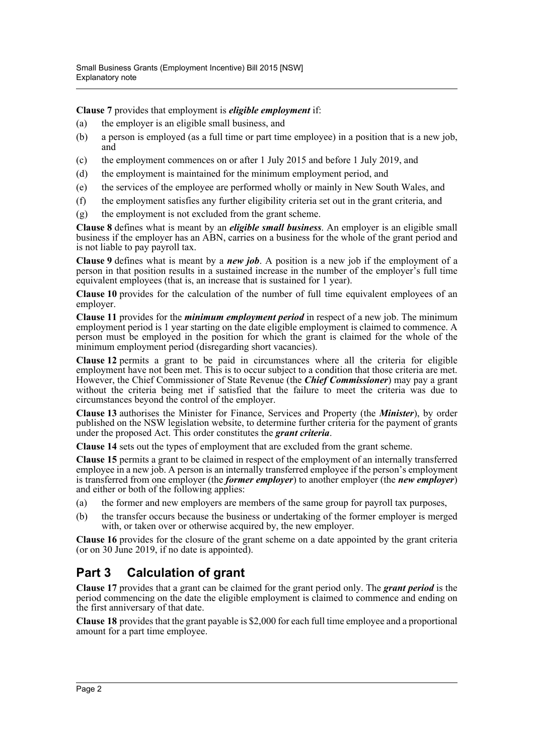**Clause 7** provides that employment is *eligible employment* if:

- (a) the employer is an eligible small business, and
- (b) a person is employed (as a full time or part time employee) in a position that is a new job, and
- (c) the employment commences on or after 1 July 2015 and before 1 July 2019, and
- (d) the employment is maintained for the minimum employment period, and
- (e) the services of the employee are performed wholly or mainly in New South Wales, and
- (f) the employment satisfies any further eligibility criteria set out in the grant criteria, and
- (g) the employment is not excluded from the grant scheme.

**Clause 8** defines what is meant by an *eligible small business*. An employer is an eligible small business if the employer has an ABN, carries on a business for the whole of the grant period and is not liable to pay payroll tax.

**Clause 9** defines what is meant by a *new job*. A position is a new job if the employment of a person in that position results in a sustained increase in the number of the employer's full time equivalent employees (that is, an increase that is sustained for 1 year).

**Clause 10** provides for the calculation of the number of full time equivalent employees of an employer.

**Clause 11** provides for the *minimum employment period* in respect of a new job. The minimum employment period is 1 year starting on the date eligible employment is claimed to commence. A person must be employed in the position for which the grant is claimed for the whole of the minimum employment period (disregarding short vacancies).

**Clause 12** permits a grant to be paid in circumstances where all the criteria for eligible employment have not been met. This is to occur subject to a condition that those criteria are met. However, the Chief Commissioner of State Revenue (the *Chief Commissioner*) may pay a grant without the criteria being met if satisfied that the failure to meet the criteria was due to circumstances beyond the control of the employer.

**Clause 13** authorises the Minister for Finance, Services and Property (the *Minister*), by order published on the NSW legislation website, to determine further criteria for the payment of grants under the proposed Act. This order constitutes the *grant criteria*.

**Clause 14** sets out the types of employment that are excluded from the grant scheme.

**Clause 15** permits a grant to be claimed in respect of the employment of an internally transferred employee in a new job. A person is an internally transferred employee if the person's employment is transferred from one employer (the *former employer*) to another employer (the *new employer*) and either or both of the following applies:

- (a) the former and new employers are members of the same group for payroll tax purposes,
- (b) the transfer occurs because the business or undertaking of the former employer is merged with, or taken over or otherwise acquired by, the new employer.

**Clause 16** provides for the closure of the grant scheme on a date appointed by the grant criteria (or on 30 June 2019, if no date is appointed).

## **Part 3 Calculation of grant**

**Clause 17** provides that a grant can be claimed for the grant period only. The *grant period* is the period commencing on the date the eligible employment is claimed to commence and ending on the first anniversary of that date.

**Clause 18** provides that the grant payable is \$2,000 for each full time employee and a proportional amount for a part time employee.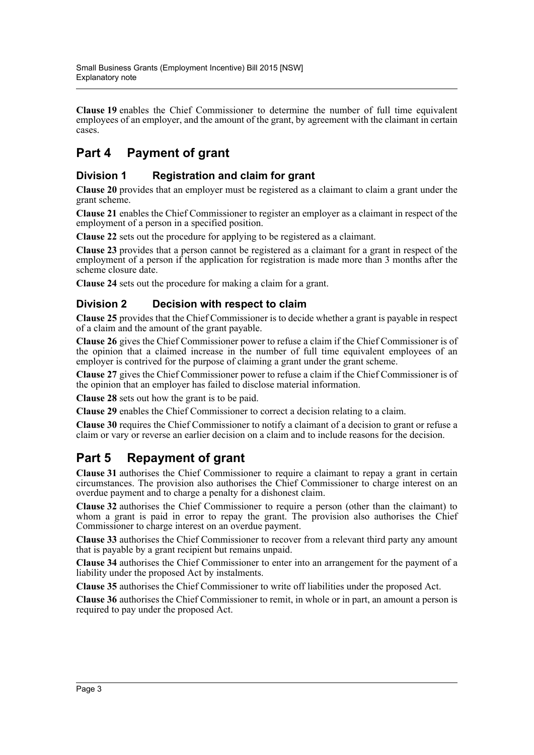**Clause 19** enables the Chief Commissioner to determine the number of full time equivalent employees of an employer, and the amount of the grant, by agreement with the claimant in certain cases.

# **Part 4 Payment of grant**

#### **Division 1 Registration and claim for grant**

**Clause 20** provides that an employer must be registered as a claimant to claim a grant under the grant scheme.

**Clause 21** enables the Chief Commissioner to register an employer as a claimant in respect of the employment of a person in a specified position.

**Clause 22** sets out the procedure for applying to be registered as a claimant.

**Clause 23** provides that a person cannot be registered as a claimant for a grant in respect of the employment of a person if the application for registration is made more than 3 months after the scheme closure date.

**Clause 24** sets out the procedure for making a claim for a grant.

#### **Division 2 Decision with respect to claim**

**Clause 25** provides that the Chief Commissioner is to decide whether a grant is payable in respect of a claim and the amount of the grant payable.

**Clause 26** gives the Chief Commissioner power to refuse a claim if the Chief Commissioner is of the opinion that a claimed increase in the number of full time equivalent employees of an employer is contrived for the purpose of claiming a grant under the grant scheme.

**Clause 27** gives the Chief Commissioner power to refuse a claim if the Chief Commissioner is of the opinion that an employer has failed to disclose material information.

**Clause 28** sets out how the grant is to be paid.

**Clause 29** enables the Chief Commissioner to correct a decision relating to a claim.

**Clause 30** requires the Chief Commissioner to notify a claimant of a decision to grant or refuse a claim or vary or reverse an earlier decision on a claim and to include reasons for the decision.

# **Part 5 Repayment of grant**

**Clause 31** authorises the Chief Commissioner to require a claimant to repay a grant in certain circumstances. The provision also authorises the Chief Commissioner to charge interest on an overdue payment and to charge a penalty for a dishonest claim.

**Clause 32** authorises the Chief Commissioner to require a person (other than the claimant) to whom a grant is paid in error to repay the grant. The provision also authorises the Chief Commissioner to charge interest on an overdue payment.

**Clause 33** authorises the Chief Commissioner to recover from a relevant third party any amount that is payable by a grant recipient but remains unpaid.

**Clause 34** authorises the Chief Commissioner to enter into an arrangement for the payment of a liability under the proposed Act by instalments.

**Clause 35** authorises the Chief Commissioner to write off liabilities under the proposed Act.

**Clause 36** authorises the Chief Commissioner to remit, in whole or in part, an amount a person is required to pay under the proposed Act.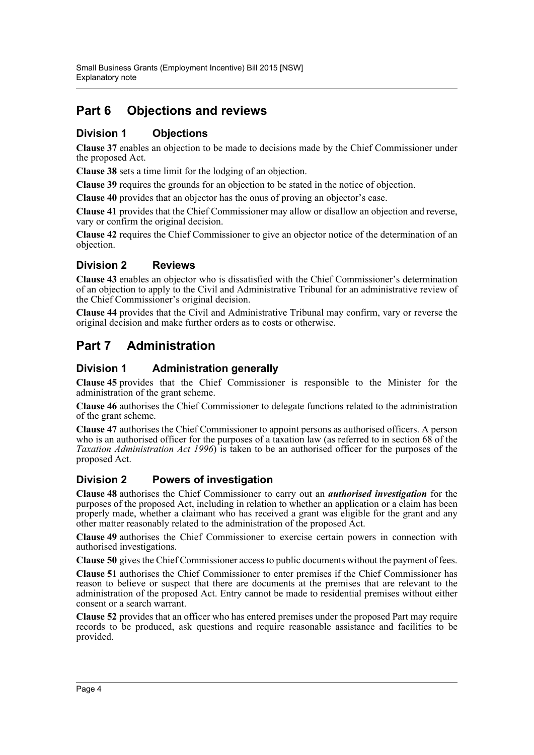# **Part 6 Objections and reviews**

#### **Division 1 Objections**

**Clause 37** enables an objection to be made to decisions made by the Chief Commissioner under the proposed Act.

**Clause 38** sets a time limit for the lodging of an objection.

**Clause 39** requires the grounds for an objection to be stated in the notice of objection.

**Clause 40** provides that an objector has the onus of proving an objector's case.

**Clause 41** provides that the Chief Commissioner may allow or disallow an objection and reverse, vary or confirm the original decision.

**Clause 42** requires the Chief Commissioner to give an objector notice of the determination of an objection.

#### **Division 2 Reviews**

**Clause 43** enables an objector who is dissatisfied with the Chief Commissioner's determination of an objection to apply to the Civil and Administrative Tribunal for an administrative review of the Chief Commissioner's original decision.

**Clause 44** provides that the Civil and Administrative Tribunal may confirm, vary or reverse the original decision and make further orders as to costs or otherwise.

## **Part 7 Administration**

#### **Division 1 Administration generally**

**Clause 45** provides that the Chief Commissioner is responsible to the Minister for the administration of the grant scheme.

**Clause 46** authorises the Chief Commissioner to delegate functions related to the administration of the grant scheme.

**Clause 47** authorises the Chief Commissioner to appoint persons as authorised officers. A person who is an authorised officer for the purposes of a taxation law (as referred to in section 68 of the *Taxation Administration Act 1996*) is taken to be an authorised officer for the purposes of the proposed Act.

#### **Division 2 Powers of investigation**

**Clause 48** authorises the Chief Commissioner to carry out an *authorised investigation* for the purposes of the proposed Act, including in relation to whether an application or a claim has been properly made, whether a claimant who has received a grant was eligible for the grant and any other matter reasonably related to the administration of the proposed Act.

**Clause 49** authorises the Chief Commissioner to exercise certain powers in connection with authorised investigations.

**Clause 50** gives the Chief Commissioner access to public documents without the payment of fees.

**Clause 51** authorises the Chief Commissioner to enter premises if the Chief Commissioner has reason to believe or suspect that there are documents at the premises that are relevant to the administration of the proposed Act. Entry cannot be made to residential premises without either consent or a search warrant.

**Clause 52** provides that an officer who has entered premises under the proposed Part may require records to be produced, ask questions and require reasonable assistance and facilities to be provided.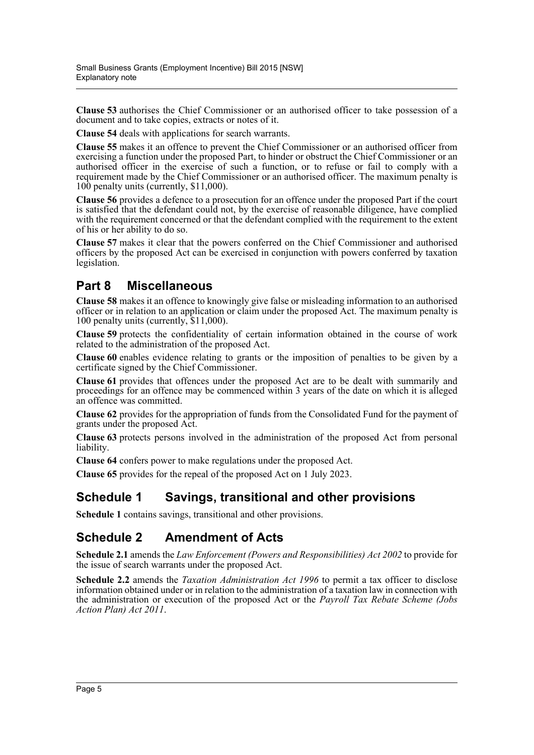**Clause 53** authorises the Chief Commissioner or an authorised officer to take possession of a document and to take copies, extracts or notes of it.

**Clause 54** deals with applications for search warrants.

**Clause 55** makes it an offence to prevent the Chief Commissioner or an authorised officer from exercising a function under the proposed Part, to hinder or obstruct the Chief Commissioner or an authorised officer in the exercise of such a function, or to refuse or fail to comply with a requirement made by the Chief Commissioner or an authorised officer. The maximum penalty is 100 penalty units (currently, \$11,000).

**Clause 56** provides a defence to a prosecution for an offence under the proposed Part if the court is satisfied that the defendant could not, by the exercise of reasonable diligence, have complied with the requirement concerned or that the defendant complied with the requirement to the extent of his or her ability to do so.

**Clause 57** makes it clear that the powers conferred on the Chief Commissioner and authorised officers by the proposed Act can be exercised in conjunction with powers conferred by taxation legislation.

## **Part 8 Miscellaneous**

**Clause 58** makes it an offence to knowingly give false or misleading information to an authorised officer or in relation to an application or claim under the proposed Act. The maximum penalty is 100 penalty units (currently, \$11,000).

**Clause 59** protects the confidentiality of certain information obtained in the course of work related to the administration of the proposed Act.

**Clause 60** enables evidence relating to grants or the imposition of penalties to be given by a certificate signed by the Chief Commissioner.

**Clause 61** provides that offences under the proposed Act are to be dealt with summarily and proceedings for an offence may be commenced within 3 years of the date on which it is alleged an offence was committed.

**Clause 62** provides for the appropriation of funds from the Consolidated Fund for the payment of grants under the proposed Act.

**Clause 63** protects persons involved in the administration of the proposed Act from personal liability.

**Clause 64** confers power to make regulations under the proposed Act.

**Clause 65** provides for the repeal of the proposed Act on 1 July 2023.

#### **Schedule 1 Savings, transitional and other provisions**

**Schedule 1** contains savings, transitional and other provisions.

#### **Schedule 2 Amendment of Acts**

**Schedule 2.1** amends the *Law Enforcement (Powers and Responsibilities) Act 2002* to provide for the issue of search warrants under the proposed Act.

**Schedule 2.2** amends the *Taxation Administration Act 1996* to permit a tax officer to disclose information obtained under or in relation to the administration of a taxation law in connection with the administration or execution of the proposed Act or the *Payroll Tax Rebate Scheme (Jobs Action Plan) Act 2011*.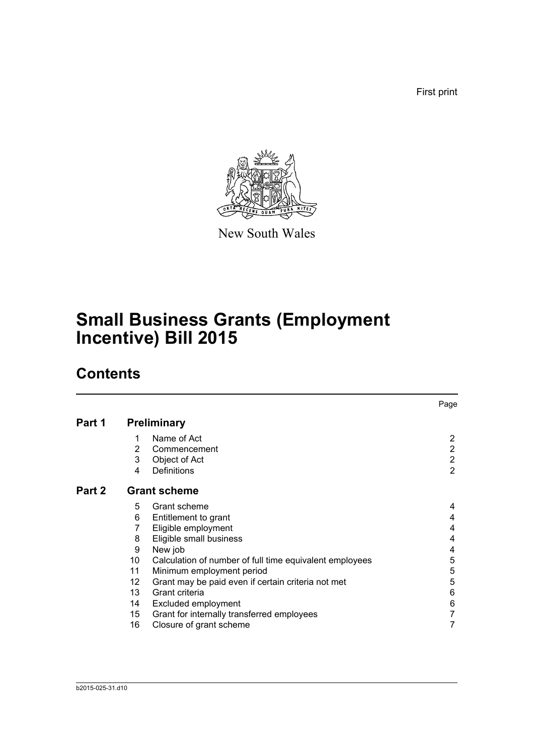First print



New South Wales

# **Small Business Grants (Employment Incentive) Bill 2015**

# **Contents**

|        |    |                                                         | Page           |
|--------|----|---------------------------------------------------------|----------------|
| Part 1 |    | <b>Preliminary</b>                                      |                |
|        | 1  | Name of Act                                             | $\overline{2}$ |
|        | 2  | Commencement                                            | $\overline{2}$ |
|        | 3  | Object of Act                                           | $\overline{2}$ |
|        | 4  | Definitions                                             | $\overline{2}$ |
| Part 2 |    | <b>Grant scheme</b>                                     |                |
|        | 5  | Grant scheme                                            | 4              |
|        | 6  | Entitlement to grant                                    | 4              |
|        | 7  | Eligible employment                                     | 4              |
|        | 8  | Eligible small business                                 | 4              |
|        | 9  | New job                                                 | 4              |
|        | 10 | Calculation of number of full time equivalent employees | 5              |
|        | 11 | Minimum employment period                               | 5              |
|        | 12 | Grant may be paid even if certain criteria not met      | 5              |
|        | 13 | Grant criteria                                          | 6              |
|        | 14 | Excluded employment                                     | 6              |
|        | 15 | Grant for internally transferred employees              | 7              |
|        | 16 | Closure of grant scheme                                 | 7              |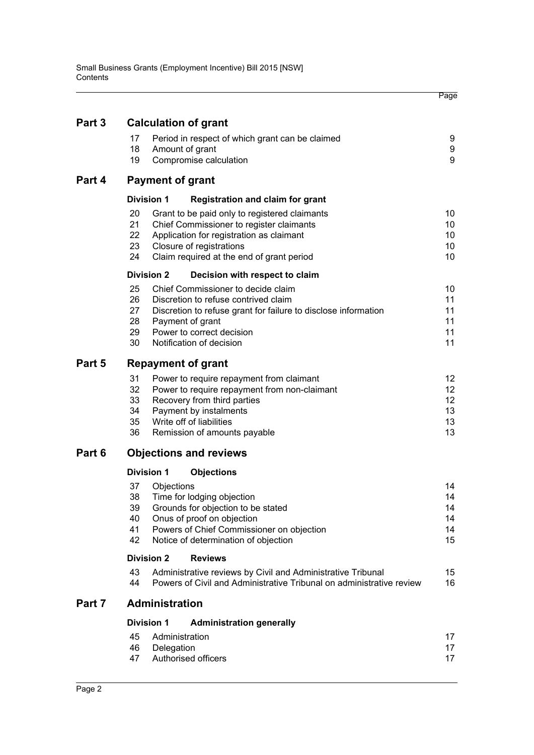|        |                                                                                                                                                 | Page     |
|--------|-------------------------------------------------------------------------------------------------------------------------------------------------|----------|
| Part 3 | <b>Calculation of grant</b>                                                                                                                     |          |
|        | 17<br>Period in respect of which grant can be claimed<br>18<br>Amount of grant                                                                  | 9<br>9   |
|        | 19<br>Compromise calculation                                                                                                                    | 9        |
| Part 4 | <b>Payment of grant</b>                                                                                                                         |          |
|        | <b>Division 1</b><br><b>Registration and claim for grant</b>                                                                                    |          |
|        | 20<br>Grant to be paid only to registered claimants                                                                                             | 10       |
|        | 21<br>Chief Commissioner to register claimants                                                                                                  | 10       |
|        | 22<br>Application for registration as claimant<br>23<br>Closure of registrations                                                                | 10<br>10 |
|        | 24<br>Claim required at the end of grant period                                                                                                 | 10       |
|        | <b>Division 2</b><br>Decision with respect to claim                                                                                             |          |
|        | 25<br>Chief Commissioner to decide claim                                                                                                        | 10       |
|        | 26<br>Discretion to refuse contrived claim                                                                                                      | 11       |
|        | 27<br>Discretion to refuse grant for failure to disclose information                                                                            | 11       |
|        | 28<br>Payment of grant<br>Power to correct decision                                                                                             | 11<br>11 |
|        | 29<br>30<br>Notification of decision                                                                                                            | 11       |
| Part 5 | <b>Repayment of grant</b>                                                                                                                       |          |
|        | 31<br>Power to require repayment from claimant                                                                                                  | 12       |
|        | 32<br>Power to require repayment from non-claimant                                                                                              | 12       |
|        | 33<br>Recovery from third parties                                                                                                               | 12       |
|        | 34<br>Payment by instalments                                                                                                                    | 13       |
|        | 35<br>Write off of liabilities                                                                                                                  | 13       |
|        | 36<br>Remission of amounts payable                                                                                                              | 13       |
| Part 6 | <b>Objections and reviews</b>                                                                                                                   |          |
|        | <b>Division 1</b><br><b>Objections</b>                                                                                                          |          |
|        | 37<br>Objections                                                                                                                                | 14       |
|        | 38<br>Time for lodging objection                                                                                                                | 14       |
|        | 39<br>Grounds for objection to be stated<br>Onus of proof on objection<br>40                                                                    | 14<br>14 |
|        | 41<br>Powers of Chief Commissioner on objection                                                                                                 | 14       |
|        | 42<br>Notice of determination of objection                                                                                                      | 15       |
|        | <b>Division 2</b><br><b>Reviews</b>                                                                                                             |          |
|        | 43<br>Administrative reviews by Civil and Administrative Tribunal<br>44<br>Powers of Civil and Administrative Tribunal on administrative review | 15<br>16 |
| Part 7 | Administration                                                                                                                                  |          |
|        | <b>Division 1</b><br><b>Administration generally</b>                                                                                            |          |
|        | 45<br>Administration                                                                                                                            | 17       |
|        | 46<br>Delegation                                                                                                                                | 17       |
|        | Authorised officers<br>47                                                                                                                       | 17       |
|        |                                                                                                                                                 |          |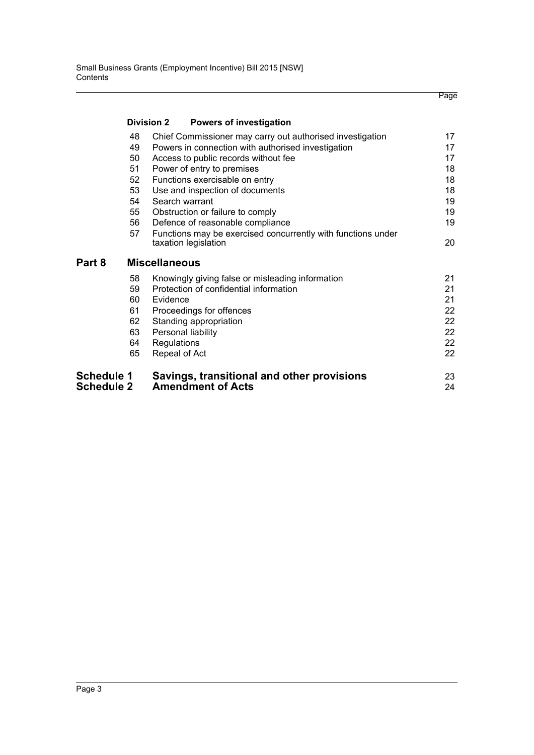|                   |                   |                                        |                                                              | Page |
|-------------------|-------------------|----------------------------------------|--------------------------------------------------------------|------|
|                   | <b>Division 2</b> |                                        | <b>Powers of investigation</b>                               |      |
|                   | 48                |                                        | Chief Commissioner may carry out authorised investigation    | 17   |
|                   | 49                |                                        | Powers in connection with authorised investigation           | 17   |
|                   | 50                | Access to public records without fee   |                                                              | 17   |
|                   | 51                | Power of entry to premises             |                                                              | 18   |
|                   | 52                | Functions exercisable on entry         |                                                              | 18   |
|                   | 53                | Use and inspection of documents        |                                                              | 18   |
|                   | 54                | Search warrant                         |                                                              | 19   |
|                   | 55                | Obstruction or failure to comply       |                                                              | 19   |
|                   | 56                | Defence of reasonable compliance       |                                                              | 19   |
|                   | 57                | taxation legislation                   | Functions may be exercised concurrently with functions under | 20   |
| Part 8            |                   | <b>Miscellaneous</b>                   |                                                              |      |
|                   | 58                |                                        | Knowingly giving false or misleading information             | 21   |
|                   | 59                | Protection of confidential information |                                                              | 21   |
|                   | 60                | Evidence                               |                                                              | 21   |
|                   | 61                | Proceedings for offences               |                                                              | 22   |
|                   | 62                | Standing appropriation                 |                                                              | 22   |
|                   | 63                | Personal liability                     |                                                              | 22   |
|                   | 64                | Regulations                            |                                                              | 22   |
|                   | 65                | Repeal of Act                          |                                                              | 22   |
| <b>Schedule 1</b> |                   |                                        | Savings, transitional and other provisions                   | 23   |
| <b>Schedule 2</b> |                   | <b>Amendment of Acts</b>               |                                                              | 24   |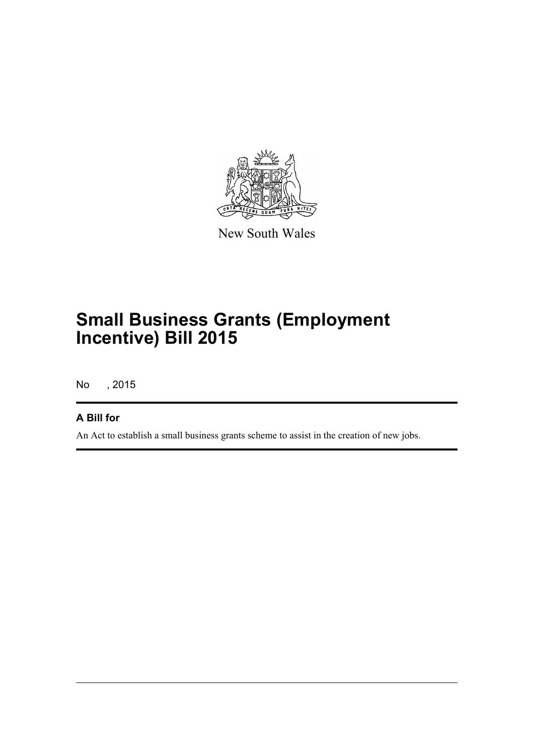

New South Wales

# **Small Business Grants (Employment Incentive) Bill 2015**

No , 2015

#### **A Bill for**

An Act to establish a small business grants scheme to assist in the creation of new jobs.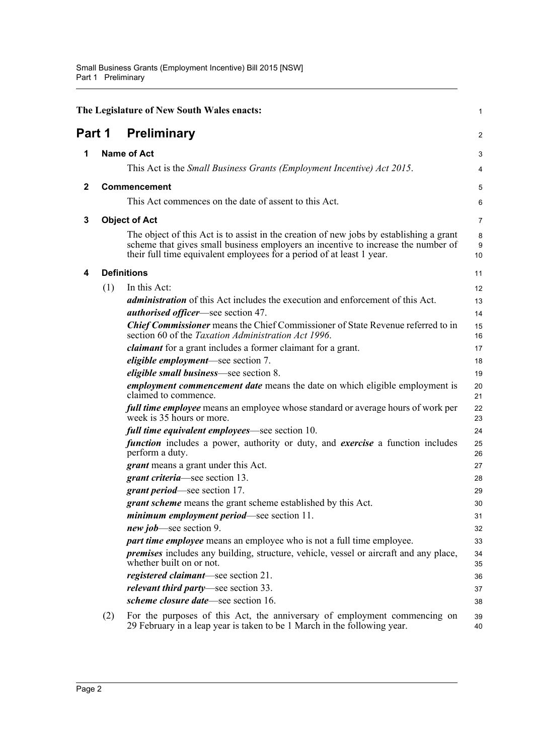<span id="page-9-4"></span><span id="page-9-3"></span><span id="page-9-2"></span><span id="page-9-1"></span><span id="page-9-0"></span>

|              |     | The Legislature of New South Wales enacts:                                                                                                                                                                                                            | 1            |
|--------------|-----|-------------------------------------------------------------------------------------------------------------------------------------------------------------------------------------------------------------------------------------------------------|--------------|
| Part 1       |     | <b>Preliminary</b>                                                                                                                                                                                                                                    | 2            |
| 1            |     | <b>Name of Act</b>                                                                                                                                                                                                                                    | 3            |
|              |     | This Act is the <i>Small Business Grants (Employment Incentive) Act 2015</i> .                                                                                                                                                                        | 4            |
| $\mathbf{2}$ |     | <b>Commencement</b>                                                                                                                                                                                                                                   | 5            |
|              |     | This Act commences on the date of assent to this Act.                                                                                                                                                                                                 | 6            |
| 3            |     | <b>Object of Act</b>                                                                                                                                                                                                                                  | 7            |
|              |     | The object of this Act is to assist in the creation of new jobs by establishing a grant<br>scheme that gives small business employers an incentive to increase the number of<br>their full time equivalent employees for a period of at least 1 year. | 8<br>9<br>10 |
| 4            |     | <b>Definitions</b>                                                                                                                                                                                                                                    | 11           |
|              | (1) | In this Act:                                                                                                                                                                                                                                          | 12           |
|              |     | <i>administration</i> of this Act includes the execution and enforcement of this Act.<br><i>authorised officer</i> —see section 47.                                                                                                                   | 13<br>14     |
|              |     | <b>Chief Commissioner</b> means the Chief Commissioner of State Revenue referred to in<br>section 60 of the Taxation Administration Act 1996.                                                                                                         | 15<br>16     |
|              |     | claimant for a grant includes a former claimant for a grant.                                                                                                                                                                                          | 17           |
|              |     | <i>eligible employment</i> —see section 7.                                                                                                                                                                                                            | 18           |
|              |     | <i>eligible small business</i> —see section 8.                                                                                                                                                                                                        | 19           |
|              |     | <i>employment commencement date</i> means the date on which eligible employment is<br>claimed to commence.                                                                                                                                            | 20<br>21     |
|              |     | full time employee means an employee whose standard or average hours of work per<br>week is 35 hours or more.                                                                                                                                         | 22<br>23     |
|              |     | <i>full time equivalent employees</i> —see section 10.                                                                                                                                                                                                | 24           |
|              |     | <i>function</i> includes a power, authority or duty, and <i>exercise</i> a function includes<br>perform a duty.                                                                                                                                       | 25<br>26     |
|              |     | <i>grant</i> means a grant under this Act.                                                                                                                                                                                                            | 27           |
|              |     | grant criteria—see section 13.                                                                                                                                                                                                                        | 28           |
|              |     | <i>grant period</i> —see section 17.                                                                                                                                                                                                                  | 29           |
|              |     | <i>grant scheme</i> means the grant scheme established by this Act.                                                                                                                                                                                   | 30           |
|              |     | <i>minimum employment period</i> —see section 11.                                                                                                                                                                                                     | 31           |
|              |     | new job—see section 9.                                                                                                                                                                                                                                | 32           |
|              |     | part time employee means an employee who is not a full time employee.                                                                                                                                                                                 | 33           |
|              |     | <i>premises</i> includes any building, structure, vehicle, vessel or aircraft and any place,<br>whether built on or not.                                                                                                                              | 34<br>35     |
|              |     | <i>registered claimant</i> —see section 21.                                                                                                                                                                                                           | 36           |
|              |     | <i>relevant third party</i> —see section 33.                                                                                                                                                                                                          | 37           |
|              |     | scheme closure date—see section 16.                                                                                                                                                                                                                   | 38           |
|              | (2) | For the purposes of this Act, the anniversary of employment commencing on<br>29 February in a leap year is taken to be 1 March in the following year.                                                                                                 | 39<br>40     |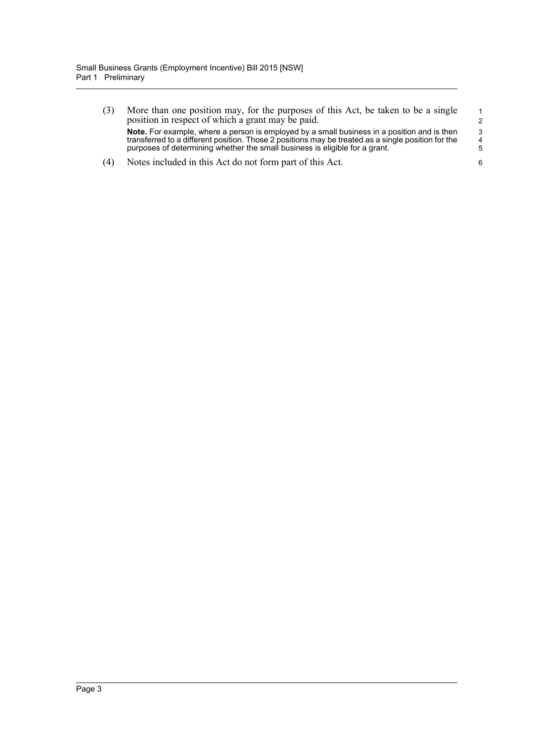- (3) More than one position may, for the purposes of this Act, be taken to be a single position in respect of which a grant may be paid. **Note.** For example, where a person is employed by a small business in a position and is then transferred to a different position. Those 2 positions may be treated as a single position for the purposes of determining whether the small business is eligible for a grant.
- (4) Notes included in this Act do not form part of this Act.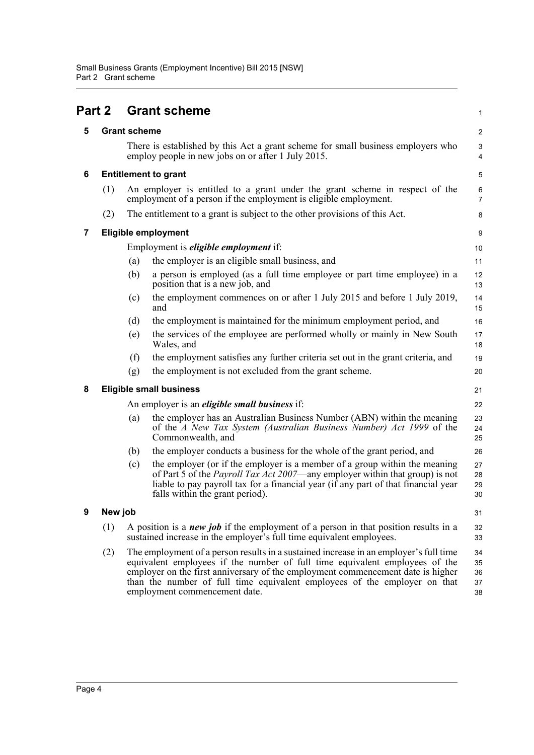<span id="page-11-5"></span><span id="page-11-4"></span><span id="page-11-3"></span><span id="page-11-2"></span><span id="page-11-1"></span><span id="page-11-0"></span>

| Part 2 |         |                     | <b>Grant scheme</b>                                                                                                                                                                                                                                                                                                                                                   | 1                          |
|--------|---------|---------------------|-----------------------------------------------------------------------------------------------------------------------------------------------------------------------------------------------------------------------------------------------------------------------------------------------------------------------------------------------------------------------|----------------------------|
| 5      |         | <b>Grant scheme</b> |                                                                                                                                                                                                                                                                                                                                                                       | $\overline{\mathbf{c}}$    |
|        |         |                     | There is established by this Act a grant scheme for small business employers who<br>employ people in new jobs on or after 1 July 2015.                                                                                                                                                                                                                                | 3<br>4                     |
| 6      |         |                     | <b>Entitlement to grant</b>                                                                                                                                                                                                                                                                                                                                           | 5                          |
|        | (1)     |                     | An employer is entitled to a grant under the grant scheme in respect of the<br>employment of a person if the employment is eligible employment.                                                                                                                                                                                                                       | 6<br>$\overline{7}$        |
|        | (2)     |                     | The entitlement to a grant is subject to the other provisions of this Act.                                                                                                                                                                                                                                                                                            | 8                          |
| 7      |         |                     | <b>Eligible employment</b>                                                                                                                                                                                                                                                                                                                                            | 9                          |
|        |         |                     | Employment is <i>eligible employment</i> if:                                                                                                                                                                                                                                                                                                                          | 10                         |
|        |         | (a)                 | the employer is an eligible small business, and                                                                                                                                                                                                                                                                                                                       | 11                         |
|        |         | (b)                 | a person is employed (as a full time employee or part time employee) in a<br>position that is a new job, and                                                                                                                                                                                                                                                          | 12<br>13                   |
|        |         | (c)                 | the employment commences on or after 1 July 2015 and before 1 July 2019,<br>and                                                                                                                                                                                                                                                                                       | 14<br>15                   |
|        |         | (d)                 | the employment is maintained for the minimum employment period, and                                                                                                                                                                                                                                                                                                   | 16                         |
|        |         | (e)                 | the services of the employee are performed wholly or mainly in New South<br>Wales, and                                                                                                                                                                                                                                                                                | 17<br>18                   |
|        |         | (f)                 | the employment satisfies any further criteria set out in the grant criteria, and                                                                                                                                                                                                                                                                                      | 19                         |
|        |         | (g)                 | the employment is not excluded from the grant scheme.                                                                                                                                                                                                                                                                                                                 | 20                         |
| 8      |         |                     | <b>Eligible small business</b>                                                                                                                                                                                                                                                                                                                                        | 21                         |
|        |         |                     | An employer is an <i>eligible small business</i> if:                                                                                                                                                                                                                                                                                                                  | 22                         |
|        |         | (a)                 | the employer has an Australian Business Number (ABN) within the meaning<br>of the A New Tax System (Australian Business Number) Act 1999 of the<br>Commonwealth, and                                                                                                                                                                                                  | 23<br>24<br>25             |
|        |         | (b)                 | the employer conducts a business for the whole of the grant period, and                                                                                                                                                                                                                                                                                               | 26                         |
|        |         | (c)                 | the employer (or if the employer is a member of a group within the meaning<br>of Part 5 of the <i>Payroll Tax Act 2007</i> —any employer within that group) is not<br>liable to pay payroll tax for a financial year (if any part of that financial year<br>falls within the grant period).                                                                           | 27<br>28<br>29<br>30       |
| 9      | New job |                     |                                                                                                                                                                                                                                                                                                                                                                       | 31                         |
|        | (1)     |                     | A position is a <i>new job</i> if the employment of a person in that position results in a<br>sustained increase in the employer's full time equivalent employees.                                                                                                                                                                                                    | 32<br>33                   |
|        | (2)     |                     | The employment of a person results in a sustained increase in an employer's full time<br>equivalent employees if the number of full time equivalent employees of the<br>employer on the first anniversary of the employment commencement date is higher<br>than the number of full time equivalent employees of the employer on that<br>employment commencement date. | 34<br>35<br>36<br>37<br>38 |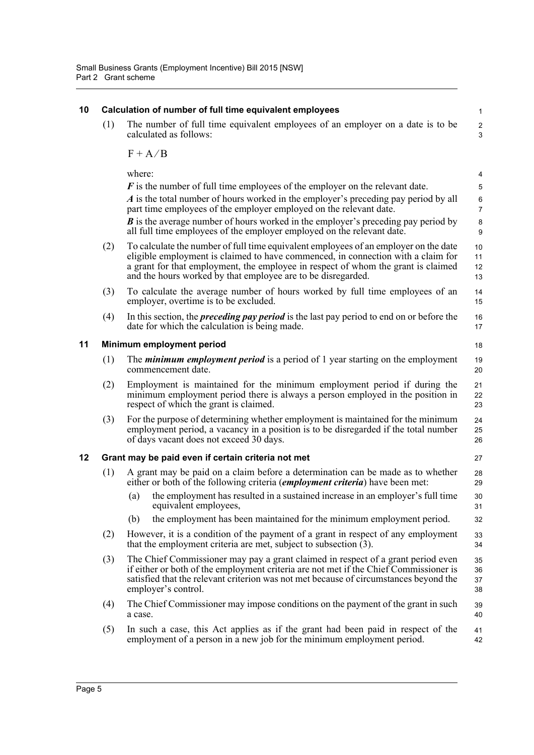<span id="page-12-2"></span><span id="page-12-1"></span><span id="page-12-0"></span>

| 10 |                                 | Calculation of number of full time equivalent employees                                                                                                                                                                                                                                                                       | $\mathbf{1}$                                |  |  |  |  |
|----|---------------------------------|-------------------------------------------------------------------------------------------------------------------------------------------------------------------------------------------------------------------------------------------------------------------------------------------------------------------------------|---------------------------------------------|--|--|--|--|
|    | (1)                             | The number of full time equivalent employees of an employer on a date is to be<br>calculated as follows:                                                                                                                                                                                                                      | $\overline{c}$<br>$\ensuremath{\mathsf{3}}$ |  |  |  |  |
|    |                                 | $F + A/B$                                                                                                                                                                                                                                                                                                                     |                                             |  |  |  |  |
|    |                                 | where:                                                                                                                                                                                                                                                                                                                        | 4                                           |  |  |  |  |
|    |                                 | $\bf{F}$ is the number of full time employees of the employer on the relevant date.                                                                                                                                                                                                                                           | 5                                           |  |  |  |  |
|    |                                 | A is the total number of hours worked in the employer's preceding pay period by all<br>part time employees of the employer employed on the relevant date.                                                                                                                                                                     | 6<br>$\overline{7}$                         |  |  |  |  |
|    |                                 | $\boldsymbol{B}$ is the average number of hours worked in the employer's preceding pay period by<br>all full time employees of the employer employed on the relevant date.                                                                                                                                                    | 8<br>9                                      |  |  |  |  |
|    | (2)                             | To calculate the number of full time equivalent employees of an employer on the date<br>eligible employment is claimed to have commenced, in connection with a claim for<br>a grant for that employment, the employee in respect of whom the grant is claimed<br>and the hours worked by that employee are to be disregarded. | 10<br>11<br>12<br>13                        |  |  |  |  |
|    | (3)                             | To calculate the average number of hours worked by full time employees of an<br>employer, overtime is to be excluded.                                                                                                                                                                                                         | 14<br>15                                    |  |  |  |  |
|    | (4)                             | In this section, the <i>preceding pay period</i> is the last pay period to end on or before the<br>date for which the calculation is being made.                                                                                                                                                                              | 16<br>17                                    |  |  |  |  |
| 11 | Minimum employment period<br>18 |                                                                                                                                                                                                                                                                                                                               |                                             |  |  |  |  |
|    | (1)                             | The <i>minimum employment period</i> is a period of 1 year starting on the employment<br>commencement date.                                                                                                                                                                                                                   | 19<br>20                                    |  |  |  |  |
|    | (2)                             | Employment is maintained for the minimum employment period if during the<br>minimum employment period there is always a person employed in the position in<br>respect of which the grant is claimed.                                                                                                                          | 21<br>22<br>23                              |  |  |  |  |
|    | (3)                             | For the purpose of determining whether employment is maintained for the minimum<br>employment period, a vacancy in a position is to be disregarded if the total number<br>of days vacant does not exceed 30 days.                                                                                                             | 24<br>25<br>26                              |  |  |  |  |
| 12 |                                 | Grant may be paid even if certain criteria not met                                                                                                                                                                                                                                                                            | 27                                          |  |  |  |  |
|    | (1)                             | A grant may be paid on a claim before a determination can be made as to whether<br>either or both of the following criteria ( <i>employment criteria</i> ) have been met:                                                                                                                                                     | 28<br>29                                    |  |  |  |  |
|    |                                 | the employment has resulted in a sustained increase in an employer's full time<br>(a)<br>equivalent employees.                                                                                                                                                                                                                | 30<br>31                                    |  |  |  |  |
|    |                                 | the employment has been maintained for the minimum employment period.<br>(b)                                                                                                                                                                                                                                                  | 32                                          |  |  |  |  |
|    | (2)                             | However, it is a condition of the payment of a grant in respect of any employment<br>that the employment criteria are met, subject to subsection $(3)$ .                                                                                                                                                                      | 33<br>34                                    |  |  |  |  |
|    | (3)                             | The Chief Commissioner may pay a grant claimed in respect of a grant period even<br>if either or both of the employment criteria are not met if the Chief Commissioner is<br>satisfied that the relevant criterion was not met because of circumstances beyond the<br>employer's control.                                     | 35<br>36<br>37<br>38                        |  |  |  |  |
|    | (4)                             | The Chief Commissioner may impose conditions on the payment of the grant in such<br>a case.                                                                                                                                                                                                                                   | 39<br>40                                    |  |  |  |  |
|    | (5)                             | In such a case, this Act applies as if the grant had been paid in respect of the<br>employment of a person in a new job for the minimum employment period.                                                                                                                                                                    | 41<br>42                                    |  |  |  |  |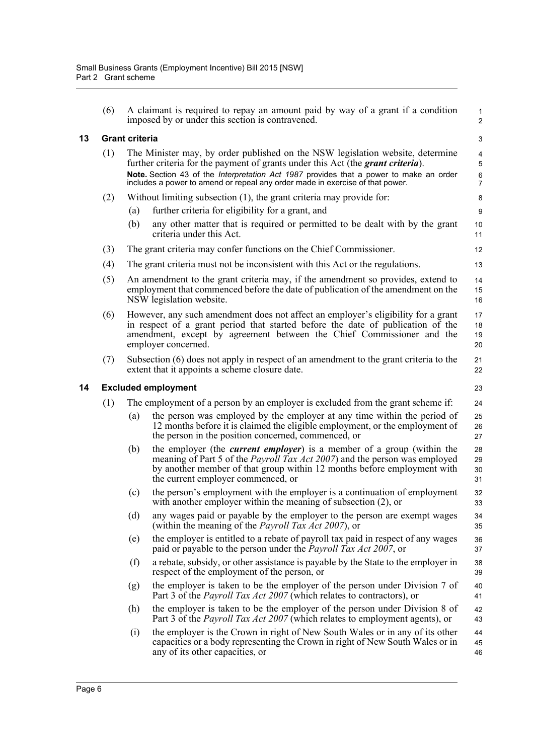<span id="page-13-1"></span><span id="page-13-0"></span>

|    | (6)                        |                       | A claimant is required to repay an amount paid by way of a grant if a condition<br>imposed by or under this section is contravened.                                                                                                                                                                                                                  | 1<br>$\overline{\mathbf{c}}$ |  |  |
|----|----------------------------|-----------------------|------------------------------------------------------------------------------------------------------------------------------------------------------------------------------------------------------------------------------------------------------------------------------------------------------------------------------------------------------|------------------------------|--|--|
| 13 |                            | <b>Grant criteria</b> |                                                                                                                                                                                                                                                                                                                                                      | 3                            |  |  |
|    | (1)                        |                       | The Minister may, by order published on the NSW legislation website, determine<br>further criteria for the payment of grants under this Act (the <i>grant criteria</i> ).<br>Note. Section 43 of the Interpretation Act 1987 provides that a power to make an order<br>includes a power to amend or repeal any order made in exercise of that power. | 4<br>5<br>6<br>7             |  |  |
|    | (2)                        |                       | Without limiting subsection (1), the grant criteria may provide for:                                                                                                                                                                                                                                                                                 | 8                            |  |  |
|    |                            | (a)                   | further criteria for eligibility for a grant, and                                                                                                                                                                                                                                                                                                    | 9                            |  |  |
|    |                            | (b)                   | any other matter that is required or permitted to be dealt with by the grant<br>criteria under this Act.                                                                                                                                                                                                                                             | 10<br>11                     |  |  |
|    | (3)                        |                       | The grant criteria may confer functions on the Chief Commissioner.                                                                                                                                                                                                                                                                                   | 12                           |  |  |
|    | (4)                        |                       | The grant criteria must not be inconsistent with this Act or the regulations.                                                                                                                                                                                                                                                                        | 13                           |  |  |
|    | (5)                        |                       | An amendment to the grant criteria may, if the amendment so provides, extend to<br>employment that commenced before the date of publication of the amendment on the<br>NSW legislation website.                                                                                                                                                      | 14<br>15<br>16               |  |  |
|    | (6)                        |                       | However, any such amendment does not affect an employer's eligibility for a grant<br>in respect of a grant period that started before the date of publication of the<br>amendment, except by agreement between the Chief Commissioner and the<br>employer concerned.                                                                                 | 17<br>18<br>19<br>20         |  |  |
|    | (7)                        |                       | Subsection (6) does not apply in respect of an amendment to the grant criteria to the<br>extent that it appoints a scheme closure date.                                                                                                                                                                                                              | 21<br>22                     |  |  |
| 14 | <b>Excluded employment</b> |                       |                                                                                                                                                                                                                                                                                                                                                      |                              |  |  |
|    | (1)                        |                       | The employment of a person by an employer is excluded from the grant scheme if:                                                                                                                                                                                                                                                                      | 24                           |  |  |
|    |                            | (a)                   | the person was employed by the employer at any time within the period of<br>12 months before it is claimed the eligible employment, or the employment of<br>the person in the position concerned, commenced, or                                                                                                                                      | 25<br>26<br>27               |  |  |
|    |                            | (b)                   | the employer (the <i>current employer</i> ) is a member of a group (within the<br>meaning of Part 5 of the <i>Payroll Tax Act 2007</i> ) and the person was employed<br>by another member of that group within 12 months before employment with<br>the current employer commenced, or                                                                | 28<br>29<br>30<br>31         |  |  |
|    |                            | (c)                   | the person's employment with the employer is a continuation of employment<br>with another employer within the meaning of subsection $(2)$ , or                                                                                                                                                                                                       | 32<br>33                     |  |  |
|    |                            | (d)                   | any wages paid or payable by the employer to the person are exempt wages<br>(within the meaning of the <i>Payroll Tax Act 2007</i> ), or                                                                                                                                                                                                             | 34<br>35                     |  |  |
|    |                            | (e)                   | the employer is entitled to a rebate of payroll tax paid in respect of any wages<br>paid or payable to the person under the <i>Payroll Tax Act 2007</i> , or                                                                                                                                                                                         | 36<br>37                     |  |  |
|    |                            | (f)                   | a rebate, subsidy, or other assistance is payable by the State to the employer in<br>respect of the employment of the person, or                                                                                                                                                                                                                     | 38<br>39                     |  |  |
|    |                            | (g)                   | the employer is taken to be the employer of the person under Division 7 of                                                                                                                                                                                                                                                                           | 40<br>41                     |  |  |
|    |                            |                       | Part 3 of the <i>Payroll Tax Act 2007</i> (which relates to contractors), or                                                                                                                                                                                                                                                                         |                              |  |  |
|    |                            | (h)                   | the employer is taken to be the employer of the person under Division 8 of<br>Part 3 of the <i>Payroll Tax Act 2007</i> (which relates to employment agents), or                                                                                                                                                                                     | 42<br>43                     |  |  |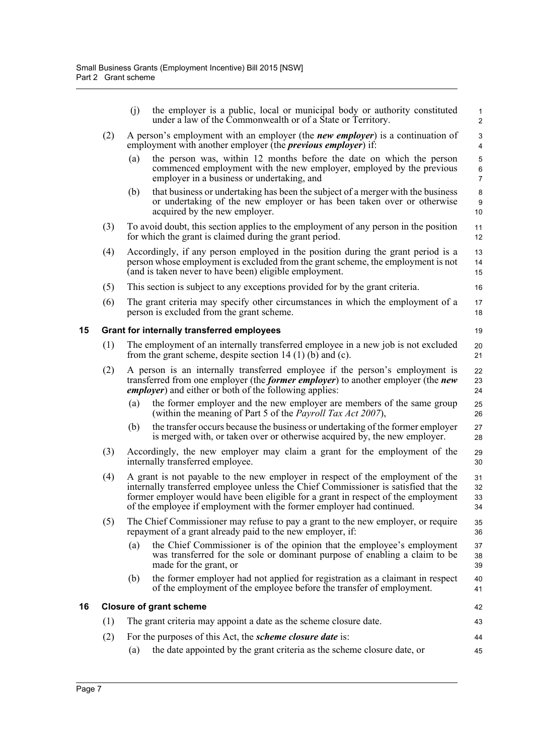<span id="page-14-1"></span><span id="page-14-0"></span>

|    |     | (j) | the employer is a public, local or municipal body or authority constituted<br>under a law of the Commonwealth or of a State or Territory.                                                                                                                                                                                           | 1<br>$\overline{c}$  |
|----|-----|-----|-------------------------------------------------------------------------------------------------------------------------------------------------------------------------------------------------------------------------------------------------------------------------------------------------------------------------------------|----------------------|
|    | (2) |     | A person's employment with an employer (the <i>new employer</i> ) is a continuation of<br>employment with another employer (the <i>previous employer</i> ) if:                                                                                                                                                                      | 3<br>4               |
|    |     | (a) | the person was, within 12 months before the date on which the person<br>commenced employment with the new employer, employed by the previous<br>employer in a business or undertaking, and                                                                                                                                          | 5<br>6<br>7          |
|    |     | (b) | that business or undertaking has been the subject of a merger with the business<br>or undertaking of the new employer or has been taken over or otherwise<br>acquired by the new employer.                                                                                                                                          | 8<br>9<br>10         |
|    | (3) |     | To avoid doubt, this section applies to the employment of any person in the position<br>for which the grant is claimed during the grant period.                                                                                                                                                                                     | 11<br>12             |
|    | (4) |     | Accordingly, if any person employed in the position during the grant period is a<br>person whose employment is excluded from the grant scheme, the employment is not<br>(and is taken never to have been) eligible employment.                                                                                                      | 13<br>14<br>15       |
|    | (5) |     | This section is subject to any exceptions provided for by the grant criteria.                                                                                                                                                                                                                                                       | 16                   |
|    | (6) |     | The grant criteria may specify other circumstances in which the employment of a<br>person is excluded from the grant scheme.                                                                                                                                                                                                        | 17<br>18             |
| 15 |     |     | <b>Grant for internally transferred employees</b>                                                                                                                                                                                                                                                                                   | 19                   |
|    | (1) |     | The employment of an internally transferred employee in a new job is not excluded<br>from the grant scheme, despite section $14(1)$ (b) and (c).                                                                                                                                                                                    | 20<br>21             |
|    | (2) |     | A person is an internally transferred employee if the person's employment is<br>transferred from one employer (the <i>former employer</i> ) to another employer (the <i>new</i><br><i>employer</i> ) and either or both of the following applies:                                                                                   | 22<br>23<br>24       |
|    |     | (a) | the former employer and the new employer are members of the same group<br>(within the meaning of Part 5 of the <i>Payroll Tax Act 2007</i> ),                                                                                                                                                                                       | 25<br>26             |
|    |     | (b) | the transfer occurs because the business or undertaking of the former employer<br>is merged with, or taken over or otherwise acquired by, the new employer.                                                                                                                                                                         | 27<br>28             |
|    | (3) |     | Accordingly, the new employer may claim a grant for the employment of the<br>internally transferred employee.                                                                                                                                                                                                                       | 29<br>30             |
|    | (4) |     | A grant is not payable to the new employer in respect of the employment of the<br>internally transferred employee unless the Chief Commissioner is satisfied that the<br>former employer would have been eligible for a grant in respect of the employment<br>of the employee if employment with the former employer had continued. | 31<br>32<br>33<br>34 |
|    | (5) |     | The Chief Commissioner may refuse to pay a grant to the new employer, or require<br>repayment of a grant already paid to the new employer, if:                                                                                                                                                                                      | 35<br>36             |
|    |     | (a) | the Chief Commissioner is of the opinion that the employee's employment<br>was transferred for the sole or dominant purpose of enabling a claim to be<br>made for the grant, or                                                                                                                                                     | 37<br>38<br>39       |
|    |     | (b) | the former employer had not applied for registration as a claimant in respect<br>of the employment of the employee before the transfer of employment.                                                                                                                                                                               | 40<br>41             |
| 16 |     |     | <b>Closure of grant scheme</b>                                                                                                                                                                                                                                                                                                      | 42                   |
|    | (1) |     | The grant criteria may appoint a date as the scheme closure date.                                                                                                                                                                                                                                                                   | 43                   |
|    | (2) |     | For the purposes of this Act, the <i>scheme closure date</i> is:                                                                                                                                                                                                                                                                    | 44                   |
|    |     | (a) | the date appointed by the grant criteria as the scheme closure date, or                                                                                                                                                                                                                                                             | 45                   |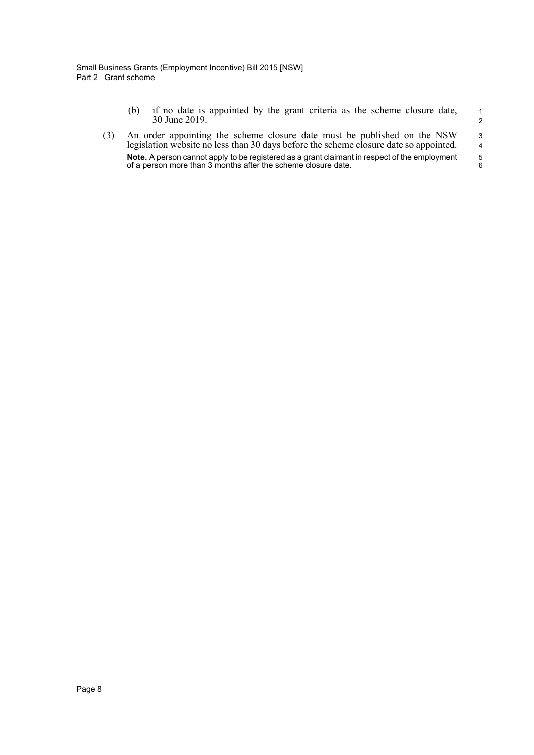- (b) if no date is appointed by the grant criteria as the scheme closure date, 30 June 2019.
- (3) An order appointing the scheme closure date must be published on the NSW legislation website no less than 30 days before the scheme closure date so appointed. **Note.** A person cannot apply to be registered as a grant claimant in respect of the employment of a person more than 3 months after the scheme closure date.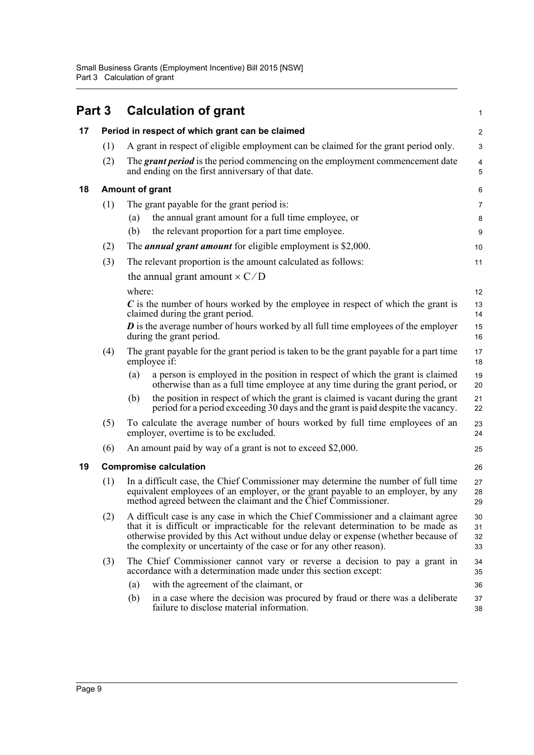<span id="page-16-3"></span><span id="page-16-2"></span><span id="page-16-1"></span><span id="page-16-0"></span>

| Part 3 |     | <b>Calculation of grant</b>                                                                                                                                                                                                                                                                                                         | 1                       |
|--------|-----|-------------------------------------------------------------------------------------------------------------------------------------------------------------------------------------------------------------------------------------------------------------------------------------------------------------------------------------|-------------------------|
| 17     |     | Period in respect of which grant can be claimed                                                                                                                                                                                                                                                                                     | $\overline{\mathbf{c}}$ |
|        | (1) | A grant in respect of eligible employment can be claimed for the grant period only.                                                                                                                                                                                                                                                 | 3                       |
|        | (2) | The <i>grant period</i> is the period commencing on the employment commencement date<br>and ending on the first anniversary of that date.                                                                                                                                                                                           | 4<br>5                  |
| 18     |     | Amount of grant                                                                                                                                                                                                                                                                                                                     | 6                       |
|        | (1) | The grant payable for the grant period is:                                                                                                                                                                                                                                                                                          | 7                       |
|        |     | the annual grant amount for a full time employee, or<br>(a)                                                                                                                                                                                                                                                                         | 8                       |
|        |     | the relevant proportion for a part time employee.<br>(b)                                                                                                                                                                                                                                                                            | 9                       |
|        | (2) | The <i>annual grant amount</i> for eligible employment is \$2,000.                                                                                                                                                                                                                                                                  | 10                      |
|        | (3) | The relevant proportion is the amount calculated as follows:                                                                                                                                                                                                                                                                        | 11                      |
|        |     | the annual grant amount $\times C/D$                                                                                                                                                                                                                                                                                                |                         |
|        |     | where:                                                                                                                                                                                                                                                                                                                              | 12                      |
|        |     | C is the number of hours worked by the employee in respect of which the grant is<br>claimed during the grant period.                                                                                                                                                                                                                | 13<br>14                |
|        |     | $\bm{D}$ is the average number of hours worked by all full time employees of the employer<br>during the grant period.                                                                                                                                                                                                               | 15<br>16                |
|        | (4) | The grant payable for the grant period is taken to be the grant payable for a part time<br>employee if:                                                                                                                                                                                                                             | 17<br>18                |
|        |     | a person is employed in the position in respect of which the grant is claimed<br>(a)<br>otherwise than as a full time employee at any time during the grant period, or                                                                                                                                                              | 19<br>20                |
|        |     | the position in respect of which the grant is claimed is vacant during the grant<br>(b)<br>period for a period exceeding 30 days and the grant is paid despite the vacancy.                                                                                                                                                         | 21<br>22                |
|        | (5) | To calculate the average number of hours worked by full time employees of an<br>employer, overtime is to be excluded.                                                                                                                                                                                                               |                         |
|        | (6) | An amount paid by way of a grant is not to exceed \$2,000.                                                                                                                                                                                                                                                                          | 25                      |
| 19     |     | <b>Compromise calculation</b>                                                                                                                                                                                                                                                                                                       | 26                      |
|        | (1) | In a difficult case, the Chief Commissioner may determine the number of full time<br>equivalent employees of an employer, or the grant payable to an employer, by any<br>method agreed between the claimant and the Chief Commissioner.                                                                                             | 27<br>28<br>29          |
|        | (2) | A difficult case is any case in which the Chief Commissioner and a claimant agree<br>that it is difficult or impracticable for the relevant determination to be made as<br>otherwise provided by this Act without undue delay or expense (whether because of<br>the complexity or uncertainty of the case or for any other reason). | 30<br>31<br>32<br>33    |
|        | (3) | The Chief Commissioner cannot vary or reverse a decision to pay a grant in<br>accordance with a determination made under this section except:                                                                                                                                                                                       | 34<br>35                |
|        |     | with the agreement of the claimant, or<br>(a)                                                                                                                                                                                                                                                                                       | 36                      |
|        |     | in a case where the decision was procured by fraud or there was a deliberate<br>(b)<br>failure to disclose material information.                                                                                                                                                                                                    | 37<br>38                |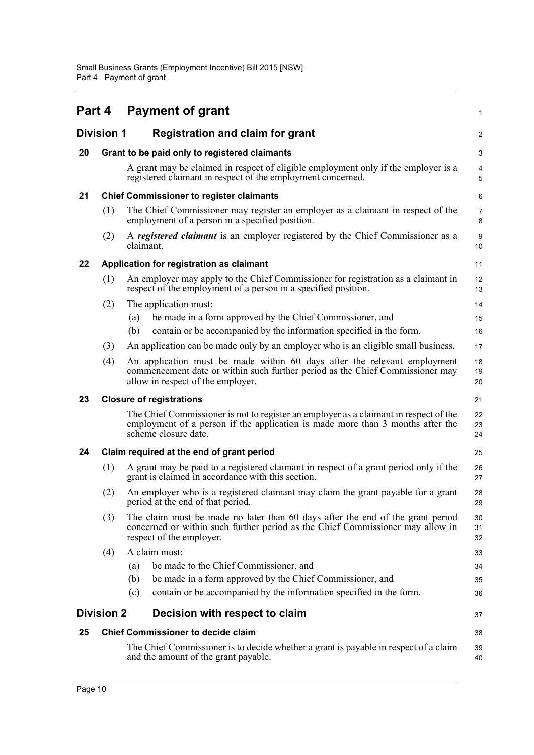<span id="page-17-8"></span><span id="page-17-7"></span><span id="page-17-6"></span><span id="page-17-5"></span><span id="page-17-4"></span><span id="page-17-3"></span><span id="page-17-2"></span><span id="page-17-1"></span><span id="page-17-0"></span>

|    | Part 4            |           | <b>Payment of grant</b>                                                                                                                                                                         | 1              |
|----|-------------------|-----------|-------------------------------------------------------------------------------------------------------------------------------------------------------------------------------------------------|----------------|
|    | <b>Division 1</b> |           | <b>Registration and claim for grant</b>                                                                                                                                                         | $\overline{c}$ |
| 20 |                   |           | Grant to be paid only to registered claimants                                                                                                                                                   | 3              |
|    |                   |           | A grant may be claimed in respect of eligible employment only if the employer is a<br>registered claimant in respect of the employment concerned.                                               | 4<br>5         |
| 21 |                   |           | <b>Chief Commissioner to register claimants</b>                                                                                                                                                 | 6              |
|    | (1)               |           | The Chief Commissioner may register an employer as a claimant in respect of the<br>employment of a person in a specified position.                                                              | 7<br>8         |
|    | (2)               | claimant. | A registered claimant is an employer registered by the Chief Commissioner as a                                                                                                                  | 9<br>10        |
| 22 |                   |           | Application for registration as claimant                                                                                                                                                        | 11             |
|    | (1)               |           | An employer may apply to the Chief Commissioner for registration as a claimant in<br>respect of the employment of a person in a specified position.                                             | 12<br>13       |
|    | (2)               |           | The application must:                                                                                                                                                                           | 14             |
|    |                   | (a)       | be made in a form approved by the Chief Commissioner, and                                                                                                                                       | 15             |
|    |                   | (b)       | contain or be accompanied by the information specified in the form.                                                                                                                             | 16             |
|    | (3)               |           | An application can be made only by an employer who is an eligible small business.                                                                                                               | 17             |
|    | (4)               |           | An application must be made within 60 days after the relevant employment<br>commencement date or within such further period as the Chief Commissioner may<br>allow in respect of the employer.  | 18<br>19<br>20 |
| 23 |                   |           | <b>Closure of registrations</b>                                                                                                                                                                 | 21             |
|    |                   |           | The Chief Commissioner is not to register an employer as a claimant in respect of the<br>employment of a person if the application is made more than 3 months after the<br>scheme closure date. | 22<br>23<br>24 |
| 24 |                   |           | Claim required at the end of grant period                                                                                                                                                       | 25             |
|    | (1)               |           | A grant may be paid to a registered claimant in respect of a grant period only if the<br>grant is claimed in accordance with this section.                                                      | 26<br>27       |
|    | (2)               |           | An employer who is a registered claimant may claim the grant payable for a grant<br>period at the end of that period.                                                                           | 28<br>29       |
|    | (3)               |           | The claim must be made no later than 60 days after the end of the grant period<br>concerned or within such further period as the Chief Commissioner may allow in<br>respect of the employer.    | 30<br>31<br>32 |
|    | (4)               |           | A claim must:                                                                                                                                                                                   | 33             |
|    |                   | (a)       | be made to the Chief Commissioner, and                                                                                                                                                          | 34             |
|    |                   | (b)       | be made in a form approved by the Chief Commissioner, and                                                                                                                                       | 35             |
|    |                   | (c)       | contain or be accompanied by the information specified in the form.                                                                                                                             | 36             |
|    | <b>Division 2</b> |           | Decision with respect to claim                                                                                                                                                                  | 37             |
| 25 |                   |           | <b>Chief Commissioner to decide claim</b>                                                                                                                                                       | 38             |
|    |                   |           | The Chief Commissioner is to decide whether a grant is payable in respect of a claim<br>and the amount of the grant payable.                                                                    | 39<br>40       |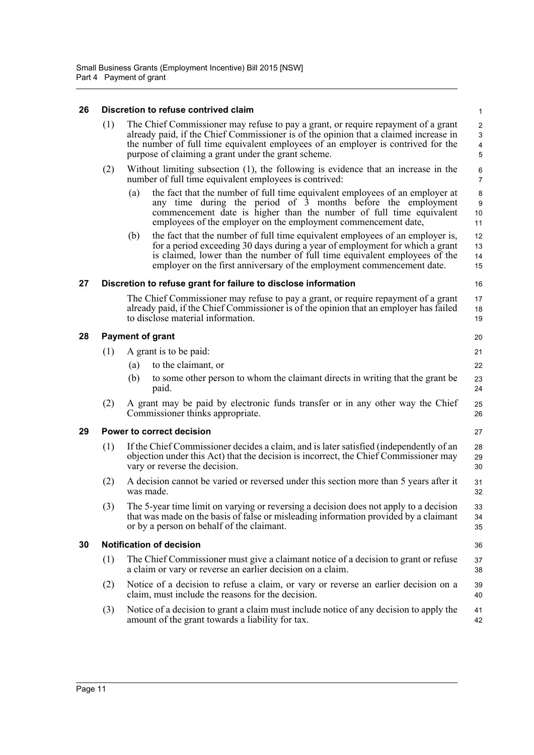#### <span id="page-18-0"></span>**26 Discretion to refuse contrived claim**

<span id="page-18-4"></span><span id="page-18-3"></span><span id="page-18-2"></span><span id="page-18-1"></span>

| 26 |     | Discretion to refuse contrived claim                                                                                                                                                                                                                                                                                         | $\mathbf{1}$                                                                          |
|----|-----|------------------------------------------------------------------------------------------------------------------------------------------------------------------------------------------------------------------------------------------------------------------------------------------------------------------------------|---------------------------------------------------------------------------------------|
|    | (1) | The Chief Commissioner may refuse to pay a grant, or require repayment of a grant<br>already paid, if the Chief Commissioner is of the opinion that a claimed increase in<br>the number of full time equivalent employees of an employer is contrived for the<br>purpose of claiming a grant under the grant scheme.         | $\overline{c}$<br>$\ensuremath{\mathsf{3}}$<br>$\overline{\mathbf{4}}$<br>$\mathbf 5$ |
|    | (2) | Without limiting subsection (1), the following is evidence that an increase in the<br>number of full time equivalent employees is contrived:                                                                                                                                                                                 | 6<br>$\overline{7}$                                                                   |
|    |     | the fact that the number of full time equivalent employees of an employer at<br>(a)<br>any time during the period of $\hat{3}$ months before the employment<br>commencement date is higher than the number of full time equivalent<br>employees of the employer on the employment commencement date,                         | 8<br>$\boldsymbol{9}$<br>10<br>11                                                     |
|    |     | the fact that the number of full time equivalent employees of an employer is,<br>(b)<br>for a period exceeding 30 days during a year of employment for which a grant<br>is claimed, lower than the number of full time equivalent employees of the<br>employer on the first anniversary of the employment commencement date. | 12<br>13<br>14<br>15                                                                  |
| 27 |     | Discretion to refuse grant for failure to disclose information                                                                                                                                                                                                                                                               | 16                                                                                    |
|    |     | The Chief Commissioner may refuse to pay a grant, or require repayment of a grant<br>already paid, if the Chief Commissioner is of the opinion that an employer has failed<br>to disclose material information.                                                                                                              | 17<br>18<br>19                                                                        |
| 28 |     | <b>Payment of grant</b>                                                                                                                                                                                                                                                                                                      | 20                                                                                    |
|    | (1) | A grant is to be paid:                                                                                                                                                                                                                                                                                                       | 21                                                                                    |
|    |     | to the claimant, or<br>(a)                                                                                                                                                                                                                                                                                                   | 22                                                                                    |
|    |     | to some other person to whom the claimant directs in writing that the grant be<br>(b)<br>paid.                                                                                                                                                                                                                               | 23<br>24                                                                              |
|    | (2) | A grant may be paid by electronic funds transfer or in any other way the Chief<br>Commissioner thinks appropriate.                                                                                                                                                                                                           | 25<br>26                                                                              |
| 29 |     | <b>Power to correct decision</b>                                                                                                                                                                                                                                                                                             | 27                                                                                    |
|    | (1) | If the Chief Commissioner decides a claim, and is later satisfied (independently of an<br>objection under this Act) that the decision is incorrect, the Chief Commissioner may<br>vary or reverse the decision.                                                                                                              | 28<br>29<br>30                                                                        |
|    | (2) | A decision cannot be varied or reversed under this section more than 5 years after it<br>was made.                                                                                                                                                                                                                           | 31<br>32                                                                              |
|    | (3) | The 5-year time limit on varying or reversing a decision does not apply to a decision<br>that was made on the basis of false or misleading information provided by a claimant<br>or by a person on behalf of the claimant.                                                                                                   | 33<br>34<br>35                                                                        |
| 30 |     | <b>Notification of decision</b>                                                                                                                                                                                                                                                                                              | 36                                                                                    |
|    | (1) | The Chief Commissioner must give a claimant notice of a decision to grant or refuse<br>a claim or vary or reverse an earlier decision on a claim.                                                                                                                                                                            | 37<br>38                                                                              |
|    | (2) | Notice of a decision to refuse a claim, or vary or reverse an earlier decision on a<br>claim, must include the reasons for the decision.                                                                                                                                                                                     | 39<br>40                                                                              |
|    | (3) | Notice of a decision to grant a claim must include notice of any decision to apply the<br>amount of the grant towards a liability for tax.                                                                                                                                                                                   | 41<br>42                                                                              |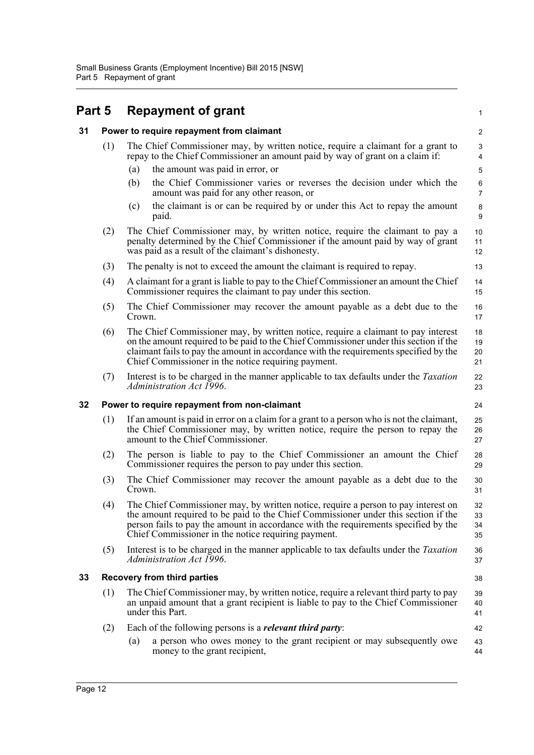<span id="page-19-3"></span><span id="page-19-2"></span><span id="page-19-1"></span><span id="page-19-0"></span>

| Part 5 |     | <b>Repayment of grant</b>                                                                                                                                                                                                                                                                                                  | 1                    |  |  |  |
|--------|-----|----------------------------------------------------------------------------------------------------------------------------------------------------------------------------------------------------------------------------------------------------------------------------------------------------------------------------|----------------------|--|--|--|
| 31     |     | Power to require repayment from claimant                                                                                                                                                                                                                                                                                   | $\overline{c}$       |  |  |  |
|        | (1) | The Chief Commissioner may, by written notice, require a claimant for a grant to<br>repay to the Chief Commissioner an amount paid by way of grant on a claim if:                                                                                                                                                          | 3<br>4               |  |  |  |
|        |     | the amount was paid in error, or<br>(a)                                                                                                                                                                                                                                                                                    | $\overline{5}$       |  |  |  |
|        |     | the Chief Commissioner varies or reverses the decision under which the<br>(b)<br>amount was paid for any other reason, or                                                                                                                                                                                                  | 6<br>$\overline{7}$  |  |  |  |
|        |     | the claimant is or can be required by or under this Act to repay the amount<br>(c)<br>paid.                                                                                                                                                                                                                                | 8<br>9               |  |  |  |
|        | (2) | The Chief Commissioner may, by written notice, require the claimant to pay a<br>penalty determined by the Chief Commissioner if the amount paid by way of grant<br>was paid as a result of the claimant's dishonesty.                                                                                                      | 10<br>11<br>12       |  |  |  |
|        | (3) | The penalty is not to exceed the amount the claimant is required to repay.                                                                                                                                                                                                                                                 | 13                   |  |  |  |
|        | (4) | A claimant for a grant is liable to pay to the Chief Commissioner an amount the Chief<br>Commissioner requires the claimant to pay under this section.                                                                                                                                                                     | 14<br>15             |  |  |  |
|        | (5) | The Chief Commissioner may recover the amount payable as a debt due to the<br>Crown.                                                                                                                                                                                                                                       | 16<br>17             |  |  |  |
|        | (6) | The Chief Commissioner may, by written notice, require a claimant to pay interest<br>on the amount required to be paid to the Chief Commissioner under this section if the<br>claimant fails to pay the amount in accordance with the requirements specified by the<br>Chief Commissioner in the notice requiring payment. | 18<br>19<br>20<br>21 |  |  |  |
|        | (7) | Interest is to be charged in the manner applicable to tax defaults under the <i>Taxation</i><br>Administration Act 1996.                                                                                                                                                                                                   | 22<br>23             |  |  |  |
| 32     |     | Power to require repayment from non-claimant                                                                                                                                                                                                                                                                               | 24                   |  |  |  |
|        | (1) | If an amount is paid in error on a claim for a grant to a person who is not the claimant,<br>the Chief Commissioner may, by written notice, require the person to repay the<br>amount to the Chief Commissioner.                                                                                                           | 25<br>26<br>27       |  |  |  |
|        | (2) | The person is liable to pay to the Chief Commissioner an amount the Chief<br>Commissioner requires the person to pay under this section.                                                                                                                                                                                   | 28<br>29             |  |  |  |
|        | (3) | The Chief Commissioner may recover the amount payable as a debt due to the<br>Crown.                                                                                                                                                                                                                                       | 30<br>31             |  |  |  |
|        | (4) | The Chief Commissioner may, by written notice, require a person to pay interest on<br>the amount required to be paid to the Chief Commissioner under this section if the<br>person fails to pay the amount in accordance with the requirements specified by the<br>Chief Commissioner in the notice requiring payment.     | 32<br>33<br>34<br>35 |  |  |  |
|        | (5) | Interest is to be charged in the manner applicable to tax defaults under the <i>Taxation</i><br>Administration Act 1996.                                                                                                                                                                                                   | 36<br>37             |  |  |  |
| 33     |     | <b>Recovery from third parties</b><br>38                                                                                                                                                                                                                                                                                   |                      |  |  |  |
|        | (1) | The Chief Commissioner may, by written notice, require a relevant third party to pay<br>an unpaid amount that a grant recipient is liable to pay to the Chief Commissioner<br>under this Part.                                                                                                                             | 39<br>40<br>41       |  |  |  |
|        | (2) | Each of the following persons is a <i>relevant third party</i> :                                                                                                                                                                                                                                                           | 42                   |  |  |  |
|        |     | a person who owes money to the grant recipient or may subsequently owe<br>(a)<br>money to the grant recipient,                                                                                                                                                                                                             | 43<br>44             |  |  |  |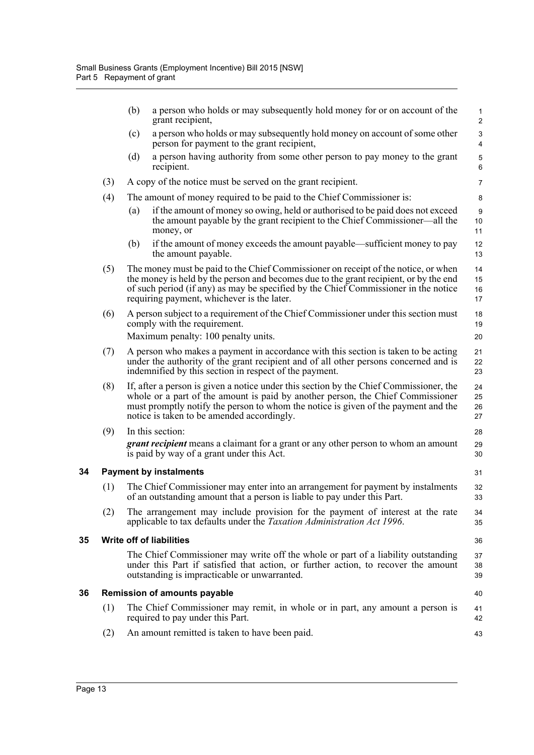|    |     | (b) | a person who holds or may subsequently hold money for or on account of the<br>grant recipient,                                                                                                                                                                                                                   | $\mathbf{1}$<br>$\overline{2}$              |
|----|-----|-----|------------------------------------------------------------------------------------------------------------------------------------------------------------------------------------------------------------------------------------------------------------------------------------------------------------------|---------------------------------------------|
|    |     | (c) | a person who holds or may subsequently hold money on account of some other<br>person for payment to the grant recipient,                                                                                                                                                                                         | $\ensuremath{\mathsf{3}}$<br>$\overline{4}$ |
|    |     | (d) | a person having authority from some other person to pay money to the grant<br>recipient.                                                                                                                                                                                                                         | $\sqrt{5}$<br>6                             |
|    | (3) |     | A copy of the notice must be served on the grant recipient.                                                                                                                                                                                                                                                      | $\overline{7}$                              |
|    | (4) |     | The amount of money required to be paid to the Chief Commissioner is:                                                                                                                                                                                                                                            | 8                                           |
|    |     | (a) | if the amount of money so owing, held or authorised to be paid does not exceed<br>the amount payable by the grant recipient to the Chief Commissioner—all the<br>money, or                                                                                                                                       | $\boldsymbol{9}$<br>10<br>11                |
|    |     | (b) | if the amount of money exceeds the amount payable—sufficient money to pay<br>the amount payable.                                                                                                                                                                                                                 | 12<br>13                                    |
|    | (5) |     | The money must be paid to the Chief Commissioner on receipt of the notice, or when<br>the money is held by the person and becomes due to the grant recipient, or by the end<br>of such period (if any) as may be specified by the Chief Commissioner in the notice<br>requiring payment, whichever is the later. | 14<br>15<br>16<br>17                        |
|    | (6) |     | A person subject to a requirement of the Chief Commissioner under this section must<br>comply with the requirement.                                                                                                                                                                                              | 18<br>19                                    |
|    |     |     | Maximum penalty: 100 penalty units.                                                                                                                                                                                                                                                                              | 20                                          |
|    | (7) |     | A person who makes a payment in accordance with this section is taken to be acting<br>under the authority of the grant recipient and of all other persons concerned and is<br>indemnified by this section in respect of the payment.                                                                             | 21<br>22<br>23                              |
|    | (8) |     | If, after a person is given a notice under this section by the Chief Commissioner, the<br>whole or a part of the amount is paid by another person, the Chief Commissioner<br>must promptly notify the person to whom the notice is given of the payment and the<br>notice is taken to be amended accordingly.    | 24<br>25<br>26<br>27                        |
|    | (9) |     | In this section:                                                                                                                                                                                                                                                                                                 | 28                                          |
|    |     |     | grant recipient means a claimant for a grant or any other person to whom an amount<br>is paid by way of a grant under this Act.                                                                                                                                                                                  | 29<br>30                                    |
| 34 |     |     | <b>Payment by instalments</b>                                                                                                                                                                                                                                                                                    | 31                                          |
|    | (1) |     | The Chief Commissioner may enter into an arrangement for payment by instalments<br>of an outstanding amount that a person is liable to pay under this Part.                                                                                                                                                      | 32<br>33                                    |
|    | (2) |     | The arrangement may include provision for the payment of interest at the rate<br>applicable to tax defaults under the Taxation Administration Act 1996.                                                                                                                                                          | 34<br>35                                    |
| 35 |     |     | <b>Write off of liabilities</b>                                                                                                                                                                                                                                                                                  | 36                                          |
|    |     |     | The Chief Commissioner may write off the whole or part of a liability outstanding<br>under this Part if satisfied that action, or further action, to recover the amount<br>outstanding is impracticable or unwarranted.                                                                                          | 37<br>38<br>39                              |
| 36 |     |     | <b>Remission of amounts payable</b>                                                                                                                                                                                                                                                                              | 40                                          |
|    | (1) |     | The Chief Commissioner may remit, in whole or in part, any amount a person is<br>required to pay under this Part.                                                                                                                                                                                                | 41<br>42                                    |
|    | (2) |     | An amount remitted is taken to have been paid.                                                                                                                                                                                                                                                                   | 43                                          |
|    |     |     |                                                                                                                                                                                                                                                                                                                  |                                             |

<span id="page-20-2"></span><span id="page-20-1"></span><span id="page-20-0"></span>**35 Write off of liabilities**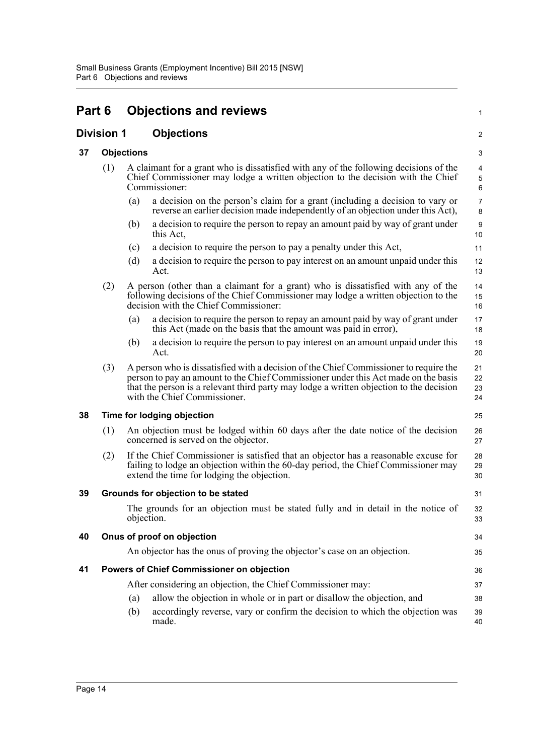<span id="page-21-6"></span><span id="page-21-5"></span><span id="page-21-4"></span><span id="page-21-3"></span><span id="page-21-2"></span><span id="page-21-1"></span><span id="page-21-0"></span>

| Part 6            |     |                   | <b>Objections and reviews</b>                                                                                                                                                                                                                                                                          | 1                       |
|-------------------|-----|-------------------|--------------------------------------------------------------------------------------------------------------------------------------------------------------------------------------------------------------------------------------------------------------------------------------------------------|-------------------------|
| <b>Division 1</b> |     |                   | <b>Objections</b>                                                                                                                                                                                                                                                                                      | $\overline{\mathbf{c}}$ |
| 37                |     | <b>Objections</b> |                                                                                                                                                                                                                                                                                                        |                         |
|                   | (1) |                   | A claimant for a grant who is dissatisfied with any of the following decisions of the<br>Chief Commissioner may lodge a written objection to the decision with the Chief<br>Commissioner:                                                                                                              | 3<br>4<br>5<br>6        |
|                   |     | (a)               | a decision on the person's claim for a grant (including a decision to vary or<br>reverse an earlier decision made independently of an objection under this Act),                                                                                                                                       | 7<br>8                  |
|                   |     | (b)               | a decision to require the person to repay an amount paid by way of grant under<br>this Act,                                                                                                                                                                                                            | 9<br>10                 |
|                   |     | (c)               | a decision to require the person to pay a penalty under this Act,                                                                                                                                                                                                                                      | 11                      |
|                   |     | (d)               | a decision to require the person to pay interest on an amount unpaid under this<br>Act.                                                                                                                                                                                                                | 12<br>13                |
|                   | (2) |                   | A person (other than a claimant for a grant) who is dissatisfied with any of the<br>following decisions of the Chief Commissioner may lodge a written objection to the<br>decision with the Chief Commissioner:                                                                                        | 14<br>15<br>16          |
|                   |     | (a)               | a decision to require the person to repay an amount paid by way of grant under<br>this Act (made on the basis that the amount was paid in error),                                                                                                                                                      | 17<br>18                |
|                   |     | (b)               | a decision to require the person to pay interest on an amount unpaid under this<br>Act.                                                                                                                                                                                                                | 19<br>20                |
|                   | (3) |                   | A person who is dissatisfied with a decision of the Chief Commissioner to require the<br>person to pay an amount to the Chief Commissioner under this Act made on the basis<br>that the person is a relevant third party may lodge a written objection to the decision<br>with the Chief Commissioner. | 21<br>22<br>23<br>24    |
| 38                |     |                   | Time for lodging objection                                                                                                                                                                                                                                                                             | 25                      |
|                   | (1) |                   | An objection must be lodged within 60 days after the date notice of the decision<br>concerned is served on the objector.                                                                                                                                                                               | 26<br>27                |
|                   | (2) |                   | If the Chief Commissioner is satisfied that an objector has a reasonable excuse for<br>failing to lodge an objection within the 60-day period, the Chief Commissioner may<br>extend the time for lodging the objection.                                                                                | 28<br>29<br>30          |
| 39                |     |                   | Grounds for objection to be stated                                                                                                                                                                                                                                                                     | 31                      |
|                   |     | objection.        | The grounds for an objection must be stated fully and in detail in the notice of                                                                                                                                                                                                                       | 32<br>33                |
| 40                |     |                   | Onus of proof on objection                                                                                                                                                                                                                                                                             | 34                      |
|                   |     |                   | An objector has the onus of proving the objector's case on an objection.                                                                                                                                                                                                                               | 35                      |
| 41                |     |                   | Powers of Chief Commissioner on objection                                                                                                                                                                                                                                                              | 36                      |
|                   |     |                   | After considering an objection, the Chief Commissioner may:                                                                                                                                                                                                                                            | 37                      |
|                   |     | (a)               | allow the objection in whole or in part or disallow the objection, and                                                                                                                                                                                                                                 | 38                      |
|                   |     | (b)               | accordingly reverse, vary or confirm the decision to which the objection was<br>made.                                                                                                                                                                                                                  | 39<br>40                |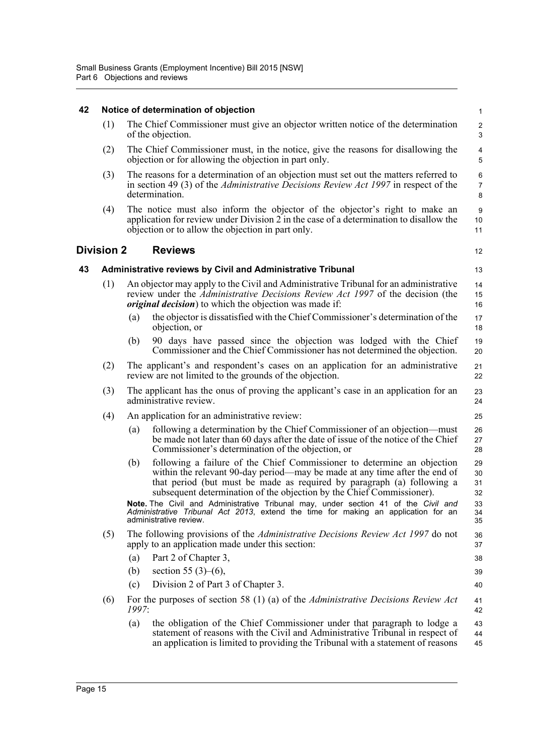#### <span id="page-22-2"></span><span id="page-22-1"></span><span id="page-22-0"></span>**42 Notice of determination of objection** (1) The Chief Commissioner must give an objector written notice of the determination of the objection. (2) The Chief Commissioner must, in the notice, give the reasons for disallowing the objection or for allowing the objection in part only. (3) The reasons for a determination of an objection must set out the matters referred to in section 49 (3) of the *Administrative Decisions Review Act 1997* in respect of the determination. (4) The notice must also inform the objector of the objector's right to make an application for review under Division 2 in the case of a determination to disallow the objection or to allow the objection in part only. **Division 2 Reviews 43 Administrative reviews by Civil and Administrative Tribunal** (1) An objector may apply to the Civil and Administrative Tribunal for an administrative review under the *Administrative Decisions Review Act 1997* of the decision (the *original decision*) to which the objection was made if: (a) the objector is dissatisfied with the Chief Commissioner's determination of the objection, or (b) 90 days have passed since the objection was lodged with the Chief Commissioner and the Chief Commissioner has not determined the objection. (2) The applicant's and respondent's cases on an application for an administrative review are not limited to the grounds of the objection. (3) The applicant has the onus of proving the applicant's case in an application for an administrative review. (4) An application for an administrative review: (a) following a determination by the Chief Commissioner of an objection—must be made not later than 60 days after the date of issue of the notice of the Chief Commissioner's determination of the objection, or (b) following a failure of the Chief Commissioner to determine an objection within the relevant 90-day period—may be made at any time after the end of that period (but must be made as required by paragraph (a) following a subsequent determination of the objection by the Chief Commissioner). **Note.** The Civil and Administrative Tribunal may, under section 41 of the *Civil and Administrative Tribunal Act 2013*, extend the time for making an application for an administrative review. (5) The following provisions of the *Administrative Decisions Review Act 1997* do not apply to an application made under this section: (a) Part 2 of Chapter 3, (b) section 55 (3)–(6), (c) Division 2 of Part 3 of Chapter 3. (6) For the purposes of section 58 (1) (a) of the *Administrative Decisions Review Act 1997*: (a) the obligation of the Chief Commissioner under that paragraph to lodge a statement of reasons with the Civil and Administrative Tribunal in respect of an application is limited to providing the Tribunal with a statement of reasons 1  $\overline{2}$ 3 4 5 6 7 8 9 10 11 12 13 14 15 16 17 18 19 20 21 22 23 24 25 26 27 28 29 30 31 32 33 34 35 36 37 38 39 40 41 42 43 44 45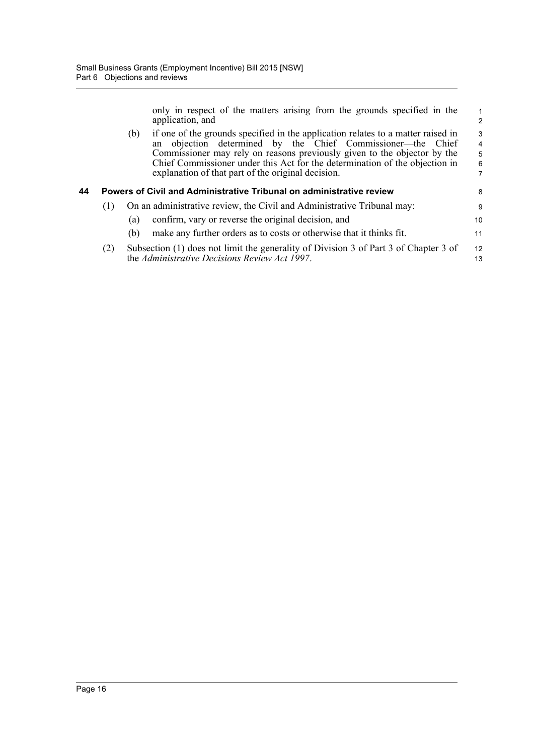only in respect of the matters arising from the grounds specified in the application, and

1 2

<span id="page-23-0"></span>

|    |     | if one of the grounds specified in the application relates to a matter raised in<br>(b)<br>an objection determined by the Chief Commissioner—the Chief<br>Commissioner may rely on reasons previously given to the objector by the<br>Chief Commissioner under this Act for the determination of the objection in<br>explanation of that part of the original decision. | 3<br>$\overline{4}$<br>5<br>6<br>7 |
|----|-----|-------------------------------------------------------------------------------------------------------------------------------------------------------------------------------------------------------------------------------------------------------------------------------------------------------------------------------------------------------------------------|------------------------------------|
| 44 |     | Powers of Civil and Administrative Tribunal on administrative review                                                                                                                                                                                                                                                                                                    | 8                                  |
|    | (1) | On an administrative review, the Civil and Administrative Tribunal may:                                                                                                                                                                                                                                                                                                 | 9                                  |
|    |     | confirm, vary or reverse the original decision, and<br>(a)                                                                                                                                                                                                                                                                                                              | 10                                 |
|    |     | make any further orders as to costs or otherwise that it thinks fit.<br>(b)                                                                                                                                                                                                                                                                                             | 11                                 |
|    | (2) | Subsection (1) does not limit the generality of Division 3 of Part 3 of Chapter 3 of<br>the Administrative Decisions Review Act 1997.                                                                                                                                                                                                                                   | 12<br>13                           |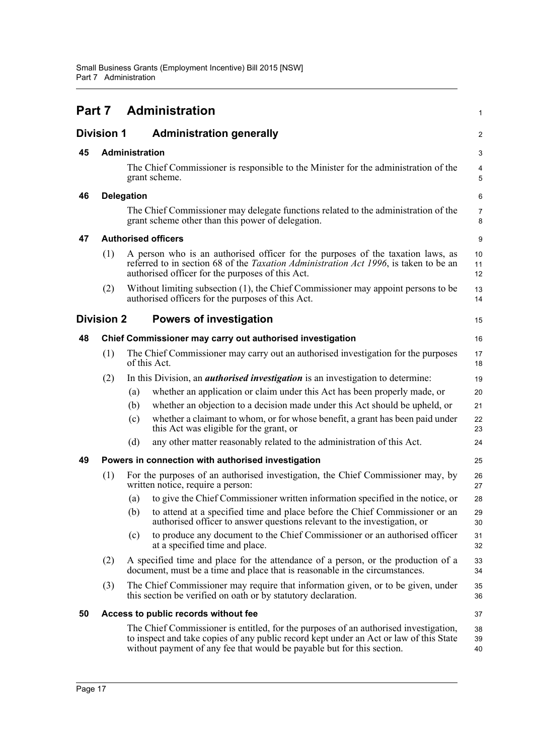<span id="page-24-8"></span><span id="page-24-7"></span><span id="page-24-6"></span><span id="page-24-5"></span><span id="page-24-4"></span><span id="page-24-3"></span><span id="page-24-2"></span><span id="page-24-1"></span><span id="page-24-0"></span>

|    |                   |                   | <b>Part 7 Administration</b>                                                                                                                                                                                                                             | 1                   |
|----|-------------------|-------------------|----------------------------------------------------------------------------------------------------------------------------------------------------------------------------------------------------------------------------------------------------------|---------------------|
|    | <b>Division 1</b> |                   | <b>Administration generally</b>                                                                                                                                                                                                                          | 2                   |
| 45 |                   | Administration    |                                                                                                                                                                                                                                                          | 3                   |
|    |                   |                   | The Chief Commissioner is responsible to the Minister for the administration of the<br>grant scheme.                                                                                                                                                     | 4<br>5              |
| 46 |                   | <b>Delegation</b> |                                                                                                                                                                                                                                                          | 6                   |
|    |                   |                   | The Chief Commissioner may delegate functions related to the administration of the<br>grant scheme other than this power of delegation.                                                                                                                  | $\overline{7}$<br>8 |
| 47 |                   |                   | <b>Authorised officers</b>                                                                                                                                                                                                                               | 9                   |
|    | (1)               |                   | A person who is an authorised officer for the purposes of the taxation laws, as<br>referred to in section 68 of the <i>Taxation Administration Act 1996</i> , is taken to be an<br>authorised officer for the purposes of this Act.                      | 10<br>11<br>12      |
|    | (2)               |                   | Without limiting subsection (1), the Chief Commissioner may appoint persons to be<br>authorised officers for the purposes of this Act.                                                                                                                   | 13<br>14            |
|    | <b>Division 2</b> |                   | <b>Powers of investigation</b>                                                                                                                                                                                                                           | 15                  |
| 48 |                   |                   | Chief Commissioner may carry out authorised investigation                                                                                                                                                                                                | 16                  |
|    | (1)               |                   | The Chief Commissioner may carry out an authorised investigation for the purposes<br>of this Act.                                                                                                                                                        | 17<br>18            |
|    | (2)               |                   | In this Division, an <i>authorised investigation</i> is an investigation to determine:                                                                                                                                                                   | 19                  |
|    |                   | (a)               | whether an application or claim under this Act has been properly made, or                                                                                                                                                                                | 20                  |
|    |                   | (b)               | whether an objection to a decision made under this Act should be upheld, or                                                                                                                                                                              | 21                  |
|    |                   | (c)               | whether a claimant to whom, or for whose benefit, a grant has been paid under<br>this Act was eligible for the grant, or                                                                                                                                 | 22<br>23            |
|    |                   | (d)               | any other matter reasonably related to the administration of this Act.                                                                                                                                                                                   | 24                  |
| 49 |                   |                   | Powers in connection with authorised investigation                                                                                                                                                                                                       | 25                  |
|    | (1)               |                   | For the purposes of an authorised investigation, the Chief Commissioner may, by<br>written notice, require a person:                                                                                                                                     | 26<br>27            |
|    |                   |                   | (a) to give the Chief Commissioner written information specified in the notice, or                                                                                                                                                                       | 28                  |
|    |                   | (b)               | to attend at a specified time and place before the Chief Commissioner or an<br>authorised officer to answer questions relevant to the investigation, or                                                                                                  | 29<br>30            |
|    |                   | (c)               | to produce any document to the Chief Commissioner or an authorised officer<br>at a specified time and place.                                                                                                                                             | 31<br>32            |
|    | (2)               |                   | A specified time and place for the attendance of a person, or the production of a<br>document, must be a time and place that is reasonable in the circumstances.                                                                                         | 33<br>34            |
|    | (3)               |                   | The Chief Commissioner may require that information given, or to be given, under<br>this section be verified on oath or by statutory declaration.                                                                                                        | 35<br>36            |
| 50 |                   |                   | Access to public records without fee                                                                                                                                                                                                                     | 37                  |
|    |                   |                   | The Chief Commissioner is entitled, for the purposes of an authorised investigation,<br>to inspect and take copies of any public record kept under an Act or law of this State<br>without payment of any fee that would be payable but for this section. | 38<br>39<br>40      |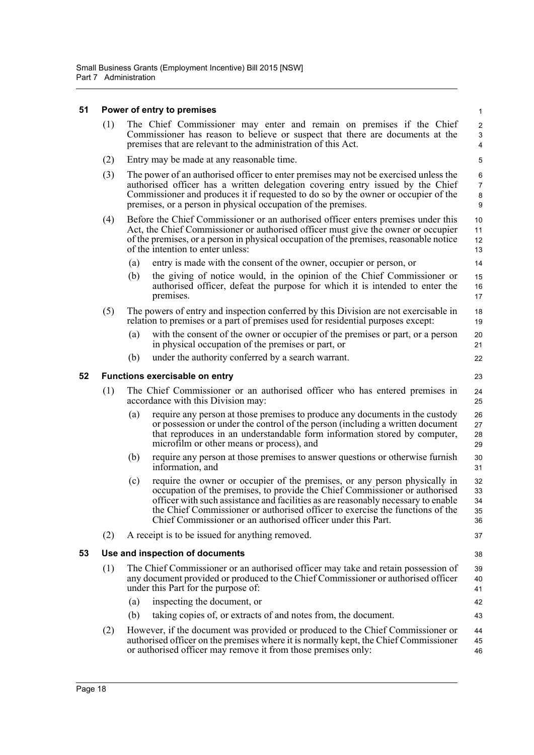#### <span id="page-25-0"></span>**51 Power of entry to premises**

|                                                               | (1) The Chief Commissioner may enter and remain on premises if the Chief      |  |  |  |  |  |
|---------------------------------------------------------------|-------------------------------------------------------------------------------|--|--|--|--|--|
|                                                               | Commissioner has reason to believe or suspect that there are documents at the |  |  |  |  |  |
| premises that are relevant to the administration of this Act. |                                                                               |  |  |  |  |  |

 $20$ 21 22

23

30 31

37

38

42 43

- (2) Entry may be made at any reasonable time.
- (3) The power of an authorised officer to enter premises may not be exercised unless the authorised officer has a written delegation covering entry issued by the Chief Commissioner and produces it if requested to do so by the owner or occupier of the premises, or a person in physical occupation of the premises.
- (4) Before the Chief Commissioner or an authorised officer enters premises under this Act, the Chief Commissioner or authorised officer must give the owner or occupier of the premises, or a person in physical occupation of the premises, reasonable notice of the intention to enter unless:
	- (a) entry is made with the consent of the owner, occupier or person, or
	- (b) the giving of notice would, in the opinion of the Chief Commissioner or authorised officer, defeat the purpose for which it is intended to enter the premises. 15 16 17
- (5) The powers of entry and inspection conferred by this Division are not exercisable in relation to premises or a part of premises used for residential purposes except: 18 19
	- (a) with the consent of the owner or occupier of the premises or part, or a person in physical occupation of the premises or part, or
	- (b) under the authority conferred by a search warrant.

#### <span id="page-25-1"></span>**52 Functions exercisable on entry**

- (1) The Chief Commissioner or an authorised officer who has entered premises in accordance with this Division may:  $24$ 25
	- (a) require any person at those premises to produce any documents in the custody or possession or under the control of the person (including a written document that reproduces in an understandable form information stored by computer, microfilm or other means or process), and 26 27 28 29
	- (b) require any person at those premises to answer questions or otherwise furnish information, and
	- (c) require the owner or occupier of the premises, or any person physically in occupation of the premises, to provide the Chief Commissioner or authorised officer with such assistance and facilities as are reasonably necessary to enable the Chief Commissioner or authorised officer to exercise the functions of the Chief Commissioner or an authorised officer under this Part. 32 33 34 35 36
- (2) A receipt is to be issued for anything removed.

#### <span id="page-25-2"></span>**53 Use and inspection of documents**

- (1) The Chief Commissioner or an authorised officer may take and retain possession of any document provided or produced to the Chief Commissioner or authorised officer under this Part for the purpose of: 39 40 41
	- (a) inspecting the document, or
	- (b) taking copies of, or extracts of and notes from, the document.
- (2) However, if the document was provided or produced to the Chief Commissioner or authorised officer on the premises where it is normally kept, the Chief Commissioner or authorised officer may remove it from those premises only: 44 45 46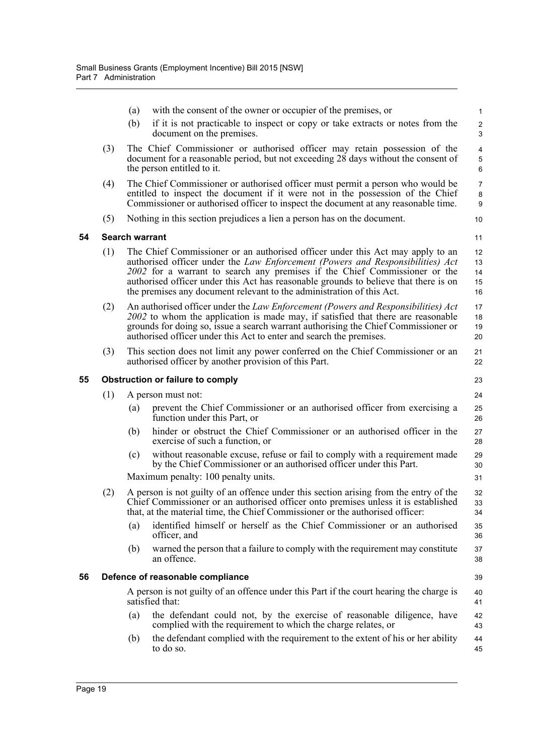|    |     | (a)                         | with the consent of the owner or occupier of the premises, or                                                                                                                                                                                                                                                                                                                                                   | $\mathbf{1}$                                  |  |  |  |  |
|----|-----|-----------------------------|-----------------------------------------------------------------------------------------------------------------------------------------------------------------------------------------------------------------------------------------------------------------------------------------------------------------------------------------------------------------------------------------------------------------|-----------------------------------------------|--|--|--|--|
|    |     | (b)                         | if it is not practicable to inspect or copy or take extracts or notes from the<br>document on the premises.                                                                                                                                                                                                                                                                                                     | $\boldsymbol{2}$<br>$\ensuremath{\mathsf{3}}$ |  |  |  |  |
|    | (3) |                             | The Chief Commissioner or authorised officer may retain possession of the<br>document for a reasonable period, but not exceeding 28 days without the consent of<br>the person entitled to it.                                                                                                                                                                                                                   | $\overline{4}$<br>$\mathbf 5$<br>6            |  |  |  |  |
|    | (4) |                             | The Chief Commissioner or authorised officer must permit a person who would be<br>entitled to inspect the document if it were not in the possession of the Chief<br>Commissioner or authorised officer to inspect the document at any reasonable time.                                                                                                                                                          | $\overline{7}$<br>8<br>9                      |  |  |  |  |
|    | (5) |                             | Nothing in this section prejudices a lien a person has on the document.                                                                                                                                                                                                                                                                                                                                         | 10                                            |  |  |  |  |
| 54 |     | <b>Search warrant</b><br>11 |                                                                                                                                                                                                                                                                                                                                                                                                                 |                                               |  |  |  |  |
|    | (1) |                             | The Chief Commissioner or an authorised officer under this Act may apply to an<br>authorised officer under the Law Enforcement (Powers and Responsibilities) Act<br>2002 for a warrant to search any premises if the Chief Commissioner or the<br>authorised officer under this Act has reasonable grounds to believe that there is on<br>the premises any document relevant to the administration of this Act. | 12<br>13<br>14<br>15<br>16                    |  |  |  |  |
|    | (2) |                             | An authorised officer under the Law Enforcement (Powers and Responsibilities) Act<br>2002 to whom the application is made may, if satisfied that there are reasonable<br>grounds for doing so, issue a search warrant authorising the Chief Commissioner or<br>authorised officer under this Act to enter and search the premises.                                                                              | 17<br>18<br>19<br>20                          |  |  |  |  |
|    | (3) |                             | This section does not limit any power conferred on the Chief Commissioner or an<br>authorised officer by another provision of this Part.                                                                                                                                                                                                                                                                        | 21<br>22                                      |  |  |  |  |
| 55 |     |                             | <b>Obstruction or failure to comply</b>                                                                                                                                                                                                                                                                                                                                                                         | 23                                            |  |  |  |  |
|    | (1) |                             | A person must not:                                                                                                                                                                                                                                                                                                                                                                                              | 24                                            |  |  |  |  |
|    |     | (a)                         | prevent the Chief Commissioner or an authorised officer from exercising a<br>function under this Part, or                                                                                                                                                                                                                                                                                                       | 25<br>26                                      |  |  |  |  |
|    |     | (b)                         | hinder or obstruct the Chief Commissioner or an authorised officer in the<br>exercise of such a function, or                                                                                                                                                                                                                                                                                                    | 27<br>28                                      |  |  |  |  |
|    |     | (c)                         | without reasonable excuse, refuse or fail to comply with a requirement made<br>by the Chief Commissioner or an authorised officer under this Part.                                                                                                                                                                                                                                                              | 29<br>30                                      |  |  |  |  |
|    |     |                             | Maximum penalty: 100 penalty units.                                                                                                                                                                                                                                                                                                                                                                             | 31                                            |  |  |  |  |
|    | (2) |                             | A person is not guilty of an offence under this section arising from the entry of the<br>Chief Commissioner or an authorised officer onto premises unless it is established<br>that, at the material time, the Chief Commissioner or the authorised officer:                                                                                                                                                    | 32<br>33<br>34                                |  |  |  |  |
|    |     | (a)                         | identified himself or herself as the Chief Commissioner or an authorised<br>officer, and                                                                                                                                                                                                                                                                                                                        | 35<br>36                                      |  |  |  |  |
|    |     | (b)                         | warned the person that a failure to comply with the requirement may constitute<br>an offence.                                                                                                                                                                                                                                                                                                                   | 37<br>38                                      |  |  |  |  |
| 56 |     |                             | Defence of reasonable compliance                                                                                                                                                                                                                                                                                                                                                                                | 39                                            |  |  |  |  |
|    |     |                             | A person is not guilty of an offence under this Part if the court hearing the charge is<br>satisfied that:                                                                                                                                                                                                                                                                                                      | 40<br>41                                      |  |  |  |  |
|    |     | (a)                         | the defendant could not, by the exercise of reasonable diligence, have<br>complied with the requirement to which the charge relates, or                                                                                                                                                                                                                                                                         | 42<br>43                                      |  |  |  |  |
|    |     | (b)                         | the defendant complied with the requirement to the extent of his or her ability<br>to do so.                                                                                                                                                                                                                                                                                                                    | 44<br>45                                      |  |  |  |  |
|    |     |                             |                                                                                                                                                                                                                                                                                                                                                                                                                 |                                               |  |  |  |  |

<span id="page-26-2"></span><span id="page-26-1"></span><span id="page-26-0"></span>**54 Search warrant**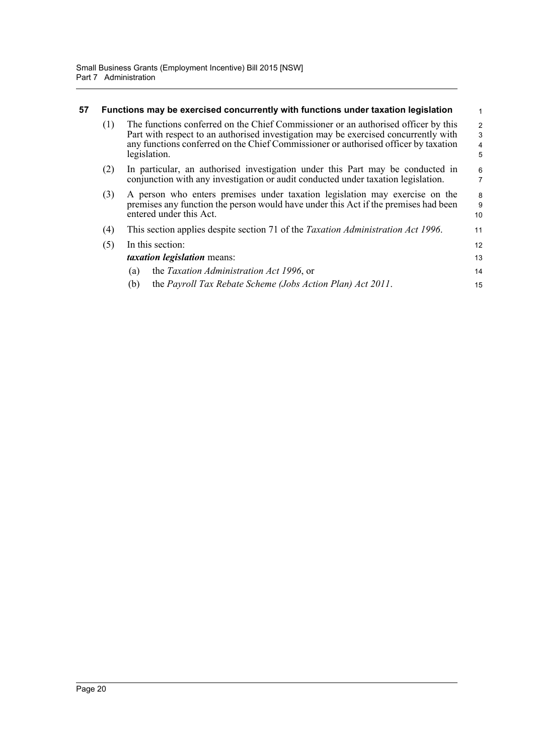<span id="page-27-0"></span>

| 57 | Functions may be exercised concurrently with functions under taxation legislation                                                                                                                                                                                                       |                                                                                                                                                                                               |                     |  |  |  |
|----|-----------------------------------------------------------------------------------------------------------------------------------------------------------------------------------------------------------------------------------------------------------------------------------------|-----------------------------------------------------------------------------------------------------------------------------------------------------------------------------------------------|---------------------|--|--|--|
|    | The functions conferred on the Chief Commissioner or an authorised officer by this<br>(1)<br>Part with respect to an authorised investigation may be exercised concurrently with<br>any functions conferred on the Chief Commissioner or authorised officer by taxation<br>legislation. |                                                                                                                                                                                               |                     |  |  |  |
|    | (2)                                                                                                                                                                                                                                                                                     | In particular, an authorised investigation under this Part may be conducted in<br>conjunction with any investigation or audit conducted under taxation legislation.                           | 6<br>$\overline{7}$ |  |  |  |
|    | (3)                                                                                                                                                                                                                                                                                     | A person who enters premises under taxation legislation may exercise on the<br>premises any function the person would have under this Act if the premises had been<br>entered under this Act. | 8<br>9<br>10        |  |  |  |
|    | (4)                                                                                                                                                                                                                                                                                     | This section applies despite section 71 of the <i>Taxation Administration Act 1996</i> .                                                                                                      | 11                  |  |  |  |
|    | (5)                                                                                                                                                                                                                                                                                     | In this section:                                                                                                                                                                              | 12                  |  |  |  |
|    |                                                                                                                                                                                                                                                                                         | <i>taxation legislation</i> means:                                                                                                                                                            | 13                  |  |  |  |
|    |                                                                                                                                                                                                                                                                                         | the Taxation Administration Act 1996, or<br>(a)                                                                                                                                               | 14                  |  |  |  |
|    |                                                                                                                                                                                                                                                                                         | the Payroll Tax Rebate Scheme (Jobs Action Plan) Act 2011.<br>(b)                                                                                                                             | 15                  |  |  |  |
|    |                                                                                                                                                                                                                                                                                         |                                                                                                                                                                                               |                     |  |  |  |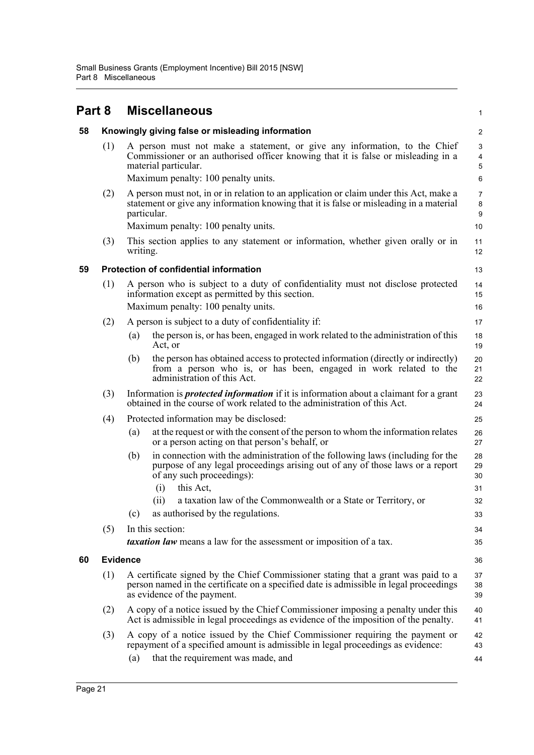<span id="page-28-3"></span><span id="page-28-2"></span><span id="page-28-1"></span><span id="page-28-0"></span>

| Part 8 |                 | <b>Miscellaneous</b>                                                                                                                                                                                                                   |                                        |  |  |  |
|--------|-----------------|----------------------------------------------------------------------------------------------------------------------------------------------------------------------------------------------------------------------------------------|----------------------------------------|--|--|--|
| 58     |                 | Knowingly giving false or misleading information                                                                                                                                                                                       | 2                                      |  |  |  |
|        | (1)             | A person must not make a statement, or give any information, to the Chief<br>Commissioner or an authorised officer knowing that it is false or misleading in a<br>material particular.<br>Maximum penalty: 100 penalty units.          | 3<br>$\overline{\mathbf{4}}$<br>5<br>6 |  |  |  |
|        | (2)             | A person must not, in or in relation to an application or claim under this Act, make a<br>statement or give any information knowing that it is false or misleading in a material<br>particular.<br>Maximum penalty: 100 penalty units. | 7<br>$\bf 8$<br>9<br>10                |  |  |  |
|        | (3)             | This section applies to any statement or information, whether given orally or in<br>writing.                                                                                                                                           | 11<br>12                               |  |  |  |
| 59     |                 | <b>Protection of confidential information</b>                                                                                                                                                                                          | 13                                     |  |  |  |
|        | (1)             | A person who is subject to a duty of confidentiality must not disclose protected<br>information except as permitted by this section.<br>Maximum penalty: 100 penalty units.                                                            | 14<br>15<br>16                         |  |  |  |
|        | (2)             | A person is subject to a duty of confidentiality if:                                                                                                                                                                                   | 17                                     |  |  |  |
|        |                 | the person is, or has been, engaged in work related to the administration of this<br>(a)<br>Act, or                                                                                                                                    | 18<br>19                               |  |  |  |
|        |                 | the person has obtained access to protected information (directly or indirectly)<br>(b)<br>from a person who is, or has been, engaged in work related to the<br>administration of this Act.                                            | 20<br>21<br>22                         |  |  |  |
|        | (3)             | Information is <i>protected information</i> if it is information about a claimant for a grant<br>obtained in the course of work related to the administration of this Act.                                                             | 23<br>24                               |  |  |  |
|        | (4)             | Protected information may be disclosed:                                                                                                                                                                                                | 25                                     |  |  |  |
|        |                 | at the request or with the consent of the person to whom the information relates<br>(a)<br>or a person acting on that person's behalf, or                                                                                              | 26<br>27                               |  |  |  |
|        |                 | in connection with the administration of the following laws (including for the<br>(b)<br>purpose of any legal proceedings arising out of any of those laws or a report<br>of any such proceedings):<br>this Act,<br>(i)                | 28<br>29<br>30<br>31                   |  |  |  |
|        |                 | (ii)<br>a taxation law of the Commonwealth or a State or Territory, or                                                                                                                                                                 | 32                                     |  |  |  |
|        |                 | as authorised by the regulations.<br>(c)                                                                                                                                                                                               | 33                                     |  |  |  |
|        | (5)             | In this section:<br><i>taxation law</i> means a law for the assessment or imposition of a tax.                                                                                                                                         | 34<br>35                               |  |  |  |
| 60     | <b>Evidence</b> |                                                                                                                                                                                                                                        | 36                                     |  |  |  |
|        | (1)             | A certificate signed by the Chief Commissioner stating that a grant was paid to a<br>person named in the certificate on a specified date is admissible in legal proceedings<br>as evidence of the payment.                             |                                        |  |  |  |
|        | (2)             | A copy of a notice issued by the Chief Commissioner imposing a penalty under this<br>Act is admissible in legal proceedings as evidence of the imposition of the penalty.                                                              |                                        |  |  |  |
|        | (3)             | A copy of a notice issued by the Chief Commissioner requiring the payment or<br>repayment of a specified amount is admissible in legal proceedings as evidence:                                                                        | 42<br>43                               |  |  |  |
|        |                 | that the requirement was made, and<br>(a)                                                                                                                                                                                              | 44                                     |  |  |  |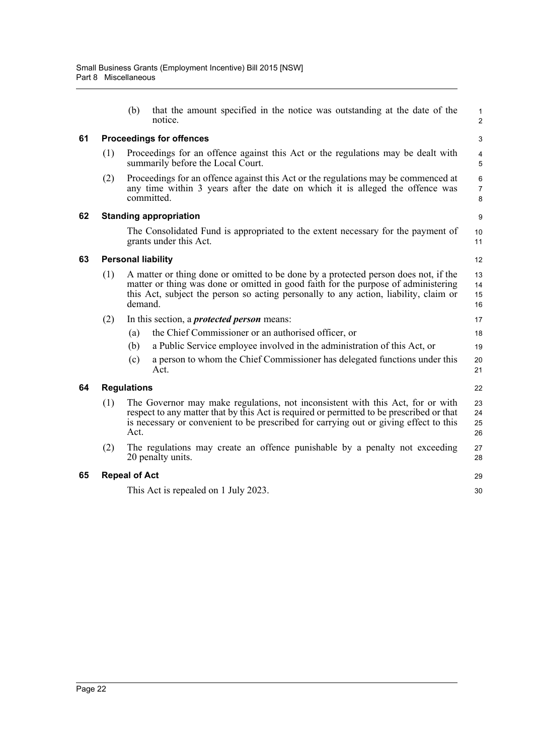<span id="page-29-4"></span><span id="page-29-3"></span><span id="page-29-2"></span><span id="page-29-1"></span><span id="page-29-0"></span>

|    |     | (b)                             | that the amount specified in the notice was outstanding at the date of the<br>notice.                                                                                                                                                                               | 1<br>$\overline{c}$  |  |  |  |  |
|----|-----|---------------------------------|---------------------------------------------------------------------------------------------------------------------------------------------------------------------------------------------------------------------------------------------------------------------|----------------------|--|--|--|--|
| 61 |     | <b>Proceedings for offences</b> |                                                                                                                                                                                                                                                                     |                      |  |  |  |  |
|    | (1) |                                 | Proceedings for an offence against this Act or the regulations may be dealt with<br>summarily before the Local Court.                                                                                                                                               | 4<br>5               |  |  |  |  |
|    | (2) |                                 | Proceedings for an offence against this Act or the regulations may be commenced at<br>any time within 3 years after the date on which it is alleged the offence was<br>committed.                                                                                   | 6<br>7<br>8          |  |  |  |  |
| 62 |     |                                 | <b>Standing appropriation</b>                                                                                                                                                                                                                                       | 9                    |  |  |  |  |
|    |     |                                 | The Consolidated Fund is appropriated to the extent necessary for the payment of<br>grants under this Act.                                                                                                                                                          | 10<br>11             |  |  |  |  |
| 63 |     |                                 | <b>Personal liability</b>                                                                                                                                                                                                                                           | 12                   |  |  |  |  |
|    | (1) | demand.                         | A matter or thing done or omitted to be done by a protected person does not, if the<br>matter or thing was done or omitted in good faith for the purpose of administering<br>this Act, subject the person so acting personally to any action, liability, claim or   | 13<br>14<br>15<br>16 |  |  |  |  |
|    | (2) |                                 | In this section, a <i>protected person</i> means:                                                                                                                                                                                                                   | 17                   |  |  |  |  |
|    |     | (a)                             | the Chief Commissioner or an authorised officer, or                                                                                                                                                                                                                 | 18                   |  |  |  |  |
|    |     | (b)                             | a Public Service employee involved in the administration of this Act, or                                                                                                                                                                                            | 19                   |  |  |  |  |
|    |     | (c)                             | a person to whom the Chief Commissioner has delegated functions under this<br>Act.                                                                                                                                                                                  | 20<br>21             |  |  |  |  |
| 64 |     | <b>Regulations</b>              |                                                                                                                                                                                                                                                                     | 22                   |  |  |  |  |
|    | (1) | Act.                            | The Governor may make regulations, not inconsistent with this Act, for or with<br>respect to any matter that by this Act is required or permitted to be prescribed or that<br>is necessary or convenient to be prescribed for carrying out or giving effect to this | 23<br>24<br>25<br>26 |  |  |  |  |
|    | (2) |                                 | The regulations may create an offence punishable by a penalty not exceeding<br>20 penalty units.                                                                                                                                                                    | 27<br>28             |  |  |  |  |
| 65 |     | <b>Repeal of Act</b>            |                                                                                                                                                                                                                                                                     | 29                   |  |  |  |  |
|    |     |                                 | This Act is repealed on 1 July 2023.                                                                                                                                                                                                                                | 30                   |  |  |  |  |
|    |     |                                 |                                                                                                                                                                                                                                                                     |                      |  |  |  |  |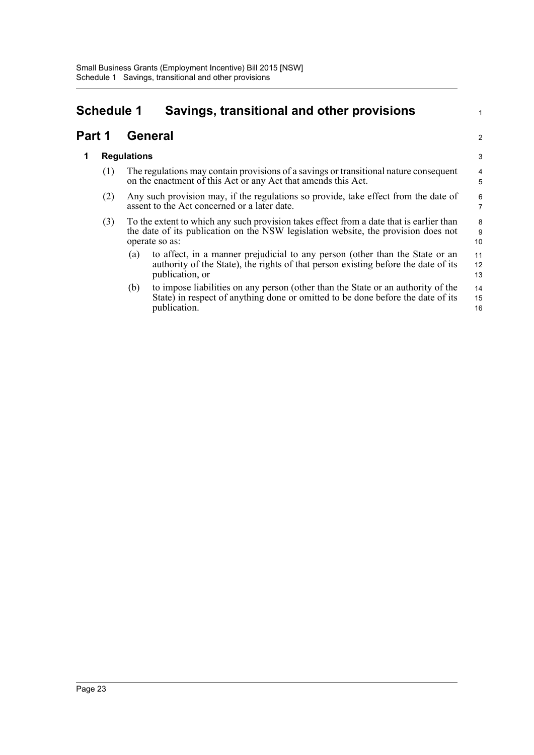## <span id="page-30-0"></span>**Schedule 1 Savings, transitional and other provisions**

#### **Part 1 General**

#### **1 Regulations**

- (1) The regulations may contain provisions of a savings or transitional nature consequent on the enactment of this Act or any Act that amends this Act.
- (2) Any such provision may, if the regulations so provide, take effect from the date of assent to the Act concerned or a later date.
- (3) To the extent to which any such provision takes effect from a date that is earlier than the date of its publication on the NSW legislation website, the provision does not operate so as:
	- (a) to affect, in a manner prejudicial to any person (other than the State or an authority of the State), the rights of that person existing before the date of its publication, or 11 12 13

1

2

(b) to impose liabilities on any person (other than the State or an authority of the State) in respect of anything done or omitted to be done before the date of its publication. 14 15 16